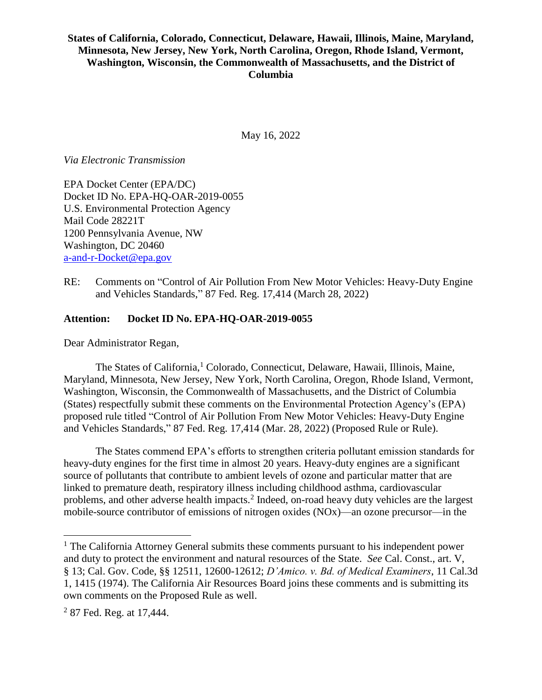### **States of California, Colorado, Connecticut, Delaware, Hawaii, Illinois, Maine, Maryland, Minnesota, New Jersey, New York, North Carolina, Oregon, Rhode Island, Vermont, Washington, Wisconsin, the Commonwealth of Massachusetts, and the District of Columbia**

May 16, 2022

*Via Electronic Transmission*

EPA Docket Center (EPA/DC) Docket ID No. EPA-HQ-OAR-2019-0055 U.S. Environmental Protection Agency Mail Code 28221T 1200 Pennsylvania Avenue, NW Washington, DC 20460 [a-and-r-Docket@epa.gov](mailto:a-and-r-Docket@epa.gov)

RE: Comments on "Control of Air Pollution From New Motor Vehicles: Heavy-Duty Engine and Vehicles Standards," 87 Fed. Reg. 17,414 (March 28, 2022)

### **Attention: Docket ID No. EPA-HQ-OAR-2019-0055**

Dear Administrator Regan,

The States of California, <sup>1</sup> Colorado, Connecticut, Delaware, Hawaii, Illinois, Maine, Maryland, Minnesota, New Jersey, New York, North Carolina, Oregon, Rhode Island, Vermont, Washington, Wisconsin, the Commonwealth of Massachusetts, and the District of Columbia (States) respectfully submit these comments on the Environmental Protection Agency's (EPA) proposed rule titled "Control of Air Pollution From New Motor Vehicles: Heavy-Duty Engine and Vehicles Standards," 87 Fed. Reg. 17,414 (Mar. 28, 2022) (Proposed Rule or Rule).

The States commend EPA's efforts to strengthen criteria pollutant emission standards for heavy-duty engines for the first time in almost 20 years. Heavy-duty engines are a significant source of pollutants that contribute to ambient levels of ozone and particular matter that are linked to premature death, respiratory illness including childhood asthma, cardiovascular problems, and other adverse health impacts.<sup>2</sup> Indeed, on-road heavy duty vehicles are the largest mobile-source contributor of emissions of nitrogen oxides (NOx)—an ozone precursor—in the

 $<sup>1</sup>$  The California Attorney General submits these comments pursuant to his independent power</sup> and duty to protect the environment and natural resources of the State. *See* Cal. Const., art. V, § 13; Cal. Gov. Code, §§ 12511, 12600-12612; *D'Amico. v. Bd. of Medical Examiners*, 11 Cal.3d 1, 1415 (1974). The California Air Resources Board joins these comments and is submitting its own comments on the Proposed Rule as well.

 $2$  87 Fed. Reg. at 17,444.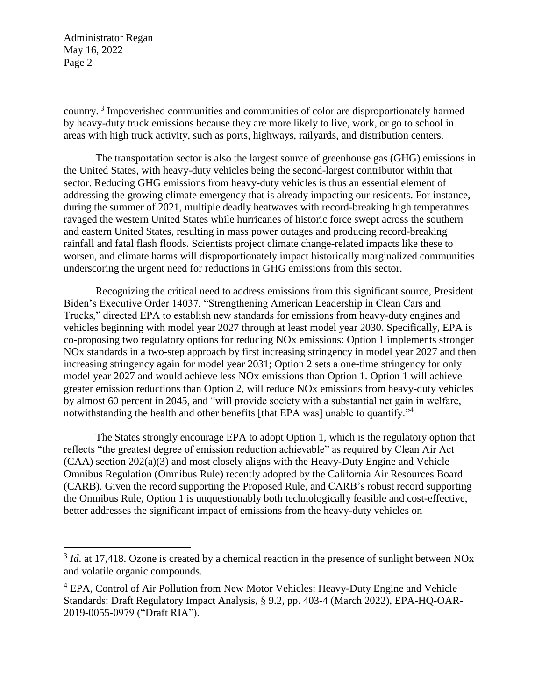$\overline{a}$ 

country.<sup>3</sup> Impoverished communities and communities of color are disproportionately harmed by heavy-duty truck emissions because they are more likely to live, work, or go to school in areas with high truck activity, such as ports, highways, railyards, and distribution centers.

The transportation sector is also the largest source of greenhouse gas (GHG) emissions in the United States, with heavy-duty vehicles being the second-largest contributor within that sector. Reducing GHG emissions from heavy-duty vehicles is thus an essential element of addressing the growing climate emergency that is already impacting our residents. For instance, during the summer of 2021, multiple deadly heatwaves with record-breaking high temperatures ravaged the western United States while hurricanes of historic force swept across the southern and eastern United States, resulting in mass power outages and producing record-breaking rainfall and fatal flash floods. Scientists project climate change-related impacts like these to worsen, and climate harms will disproportionately impact historically marginalized communities underscoring the urgent need for reductions in GHG emissions from this sector.

Recognizing the critical need to address emissions from this significant source, President Biden's Executive Order 14037, "Strengthening American Leadership in Clean Cars and Trucks," directed EPA to establish new standards for emissions from heavy-duty engines and vehicles beginning with model year 2027 through at least model year 2030. Specifically, EPA is co-proposing two regulatory options for reducing NOx emissions: Option 1 implements stronger NOx standards in a two-step approach by first increasing stringency in model year 2027 and then increasing stringency again for model year 2031; Option 2 sets a one-time stringency for only model year 2027 and would achieve less NOx emissions than Option 1. Option 1 will achieve greater emission reductions than Option 2, will reduce NOx emissions from heavy-duty vehicles by almost 60 percent in 2045, and "will provide society with a substantial net gain in welfare, notwithstanding the health and other benefits [that EPA was] unable to quantify."<sup>4</sup>

The States strongly encourage EPA to adopt Option 1, which is the regulatory option that reflects "the greatest degree of emission reduction achievable" as required by Clean Air Act (CAA) section 202(a)(3) and most closely aligns with the Heavy-Duty Engine and Vehicle Omnibus Regulation (Omnibus Rule) recently adopted by the California Air Resources Board (CARB). Given the record supporting the Proposed Rule, and CARB's robust record supporting the Omnibus Rule, Option 1 is unquestionably both technologically feasible and cost-effective, better addresses the significant impact of emissions from the heavy-duty vehicles on

 $3$  *Id.* at 17,418. Ozone is created by a chemical reaction in the presence of sunlight between NOx and volatile organic compounds.

<sup>4</sup> EPA, Control of Air Pollution from New Motor Vehicles: Heavy-Duty Engine and Vehicle Standards: Draft Regulatory Impact Analysis, § 9.2, pp. 403-4 (March 2022), EPA-HQ-OAR-2019-0055-0979 ("Draft RIA").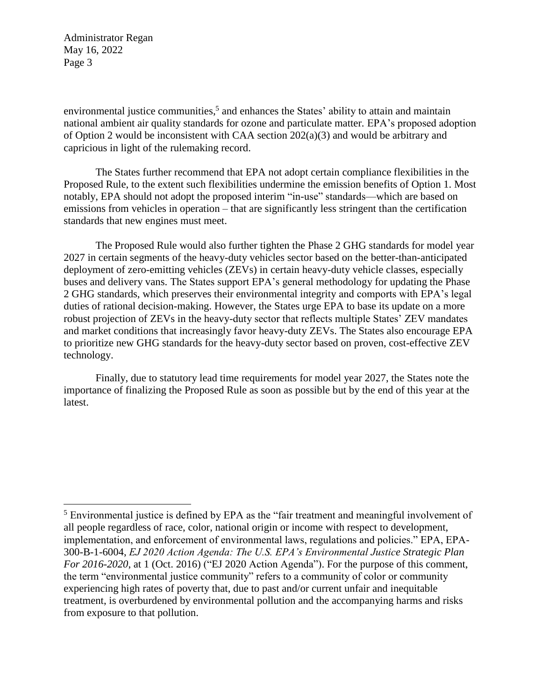$\overline{a}$ 

environmental justice communities,<sup>5</sup> and enhances the States' ability to attain and maintain national ambient air quality standards for ozone and particulate matter. EPA's proposed adoption of Option 2 would be inconsistent with CAA section  $202(a)(3)$  and would be arbitrary and capricious in light of the rulemaking record.

The States further recommend that EPA not adopt certain compliance flexibilities in the Proposed Rule, to the extent such flexibilities undermine the emission benefits of Option 1. Most notably, EPA should not adopt the proposed interim "in-use" standards—which are based on emissions from vehicles in operation – that are significantly less stringent than the certification standards that new engines must meet.

The Proposed Rule would also further tighten the Phase 2 GHG standards for model year 2027 in certain segments of the heavy-duty vehicles sector based on the better-than-anticipated deployment of zero-emitting vehicles (ZEVs) in certain heavy-duty vehicle classes, especially buses and delivery vans. The States support EPA's general methodology for updating the Phase 2 GHG standards, which preserves their environmental integrity and comports with EPA's legal duties of rational decision-making. However, the States urge EPA to base its update on a more robust projection of ZEVs in the heavy-duty sector that reflects multiple States' ZEV mandates and market conditions that increasingly favor heavy-duty ZEVs. The States also encourage EPA to prioritize new GHG standards for the heavy-duty sector based on proven, cost-effective ZEV technology.

Finally, due to statutory lead time requirements for model year 2027, the States note the importance of finalizing the Proposed Rule as soon as possible but by the end of this year at the latest.

<sup>&</sup>lt;sup>5</sup> Environmental justice is defined by EPA as the "fair treatment and meaningful involvement of all people regardless of race, color, national origin or income with respect to development, implementation, and enforcement of environmental laws, regulations and policies." EPA, EPA-300-B-1-6004, *EJ 2020 Action Agenda: The U.S. EPA's Environmental Justice Strategic Plan For 2016-2020*, at 1 (Oct. 2016) ("EJ 2020 Action Agenda"). For the purpose of this comment, the term "environmental justice community" refers to a community of color or community experiencing high rates of poverty that, due to past and/or current unfair and inequitable treatment, is overburdened by environmental pollution and the accompanying harms and risks from exposure to that pollution.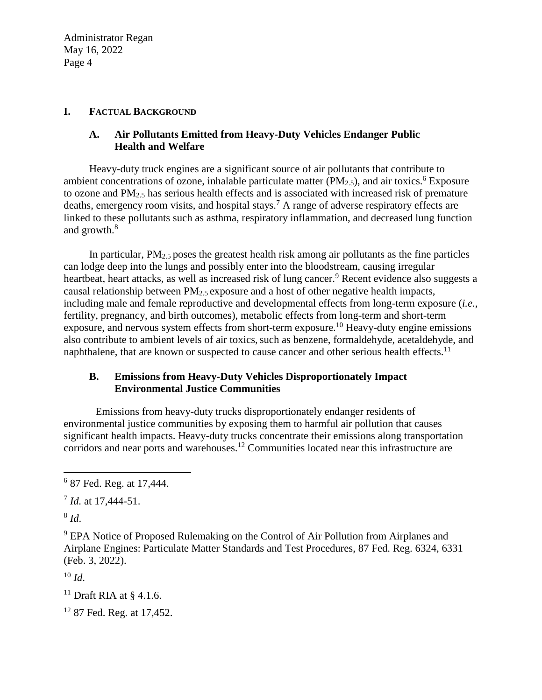### **I. FACTUAL BACKGROUND**

## **A. Air Pollutants Emitted from Heavy-Duty Vehicles Endanger Public Health and Welfare**

Heavy-duty truck engines are a significant source of air pollutants that contribute to ambient concentrations of ozone, inhalable particulate matter ( $PM<sub>2.5</sub>$ ), and air toxics.<sup>6</sup> Exposure to ozone and  $PM_{2.5}$  has serious health effects and is associated with increased risk of premature deaths, emergency room visits, and hospital stays.<sup>7</sup> A range of adverse respiratory effects are linked to these pollutants such as asthma, respiratory inflammation, and decreased lung function and growth.<sup>8</sup>

In particular,  $PM<sub>2.5</sub>$  poses the greatest health risk among air pollutants as the fine particles can lodge deep into the lungs and possibly enter into the bloodstream, causing irregular heartbeat, heart attacks, as well as increased risk of lung cancer.<sup>9</sup> Recent evidence also suggests a causal relationship between PM2.5 exposure and a host of other negative health impacts, including male and female reproductive and developmental effects from long-term exposure (*i.e.*, fertility, pregnancy, and birth outcomes), metabolic effects from long-term and short-term exposure, and nervous system effects from short-term exposure.<sup>10</sup> Heavy-duty engine emissions also contribute to ambient levels of air toxics, such as benzene, formaldehyde, acetaldehyde, and naphthalene, that are known or suspected to cause cancer and other serious health effects.<sup>11</sup>

## **B. Emissions from Heavy-Duty Vehicles Disproportionately Impact Environmental Justice Communities**

Emissions from heavy-duty trucks disproportionately endanger residents of environmental justice communities by exposing them to harmful air pollution that causes significant health impacts. Heavy-duty trucks concentrate their emissions along transportation corridors and near ports and warehouses.<sup>12</sup> Communities located near this infrastructure are

8 *Id*.

 $\overline{a}$ 

<sup>10</sup> *Id*.

<sup>&</sup>lt;sup>6</sup> 87 Fed. Reg. at 17,444.

<sup>7</sup> *Id.* at 17,444-51.

<sup>&</sup>lt;sup>9</sup> EPA Notice of Proposed Rulemaking on the Control of Air Pollution from Airplanes and Airplane Engines: Particulate Matter Standards and Test Procedures, 87 Fed. Reg. 6324, 6331 (Feb. 3, 2022).

<sup>&</sup>lt;sup>11</sup> Draft RIA at  $\frac{8}{4}$ , 1.6.

<sup>&</sup>lt;sup>12</sup> 87 Fed. Reg. at 17,452.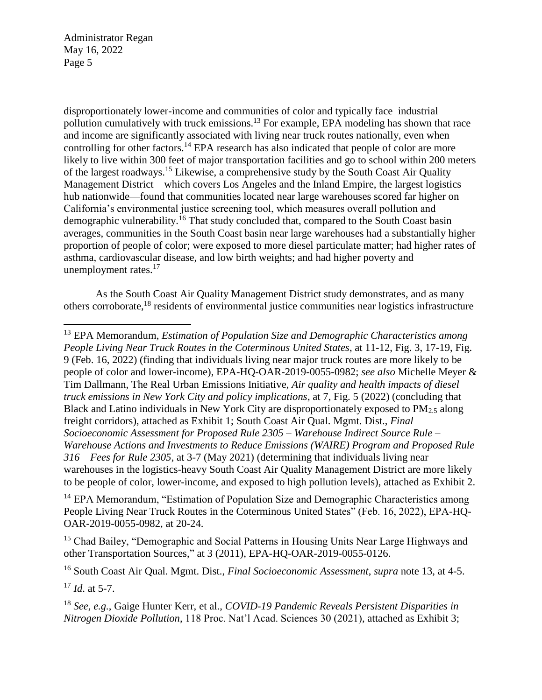disproportionately lower-income and communities of color and typically face industrial pollution cumulatively with truck emissions.<sup>13</sup> For example, EPA modeling has shown that race and income are significantly associated with living near truck routes nationally, even when controlling for other factors.<sup>14</sup> EPA research has also indicated that people of color are more likely to live within 300 feet of major transportation facilities and go to school within 200 meters of the largest roadways.<sup>15</sup> Likewise, a comprehensive study by the South Coast Air Quality Management District—which covers Los Angeles and the Inland Empire, the largest logistics hub nationwide—found that communities located near large warehouses scored far higher on California's environmental justice screening tool, which measures overall pollution and demographic vulnerability.<sup>16</sup> That study concluded that, compared to the South Coast basin averages, communities in the South Coast basin near large warehouses had a substantially higher proportion of people of color; were exposed to more diesel particulate matter; had higher rates of asthma, cardiovascular disease, and low birth weights; and had higher poverty and unemployment rates.<sup>17</sup>

As the South Coast Air Quality Management District study demonstrates, and as many others corroborate, <sup>18</sup> residents of environmental justice communities near logistics infrastructure

<sup>13</sup> EPA Memorandum, *Estimation of Population Size and Demographic Characteristics among People Living Near Truck Routes in the Coterminous United States*, at 11-12, Fig. 3, 17-19, Fig. 9 (Feb. 16, 2022) (finding that individuals living near major truck routes are more likely to be people of color and lower-income), EPA-HQ-OAR-2019-0055-0982; *see also* Michelle Meyer & Tim Dallmann, The Real Urban Emissions Initiative, *Air quality and health impacts of diesel truck emissions in New York City and policy implications*, at 7, Fig. 5 (2022) (concluding that Black and Latino individuals in New York City are disproportionately exposed to PM<sub>2.5</sub> along freight corridors), attached as Exhibit 1; South Coast Air Qual. Mgmt. Dist., *Final Socioeconomic Assessment for Proposed Rule 2305 – Warehouse Indirect Source Rule – Warehouse Actions and Investments to Reduce Emissions (WAIRE) Program and Proposed Rule 316 – Fees for Rule 2305*, at 3-7 (May 2021) (determining that individuals living near warehouses in the logistics-heavy South Coast Air Quality Management District are more likely to be people of color, lower-income, and exposed to high pollution levels), attached as Exhibit 2.

<sup>14</sup> EPA Memorandum, "Estimation of Population Size and Demographic Characteristics among People Living Near Truck Routes in the Coterminous United States" (Feb. 16, 2022), EPA-HQ-OAR-2019-0055-0982, at 20-24.

<sup>15</sup> Chad Bailey, "Demographic and Social Patterns in Housing Units Near Large Highways and other Transportation Sources," at 3 (2011), EPA-HQ-OAR-2019-0055-0126.

<sup>16</sup> South Coast Air Qual. Mgmt. Dist., *Final Socioeconomic Assessment*, *supra* note 13, at 4-5.

<sup>17</sup> *Id*. at 5-7.

 $\overline{a}$ 

<sup>18</sup> *See, e.g.*, Gaige Hunter Kerr, et al., *COVID-19 Pandemic Reveals Persistent Disparities in Nitrogen Dioxide Pollution*, 118 Proc. Nat'l Acad. Sciences 30 (2021), attached as Exhibit 3;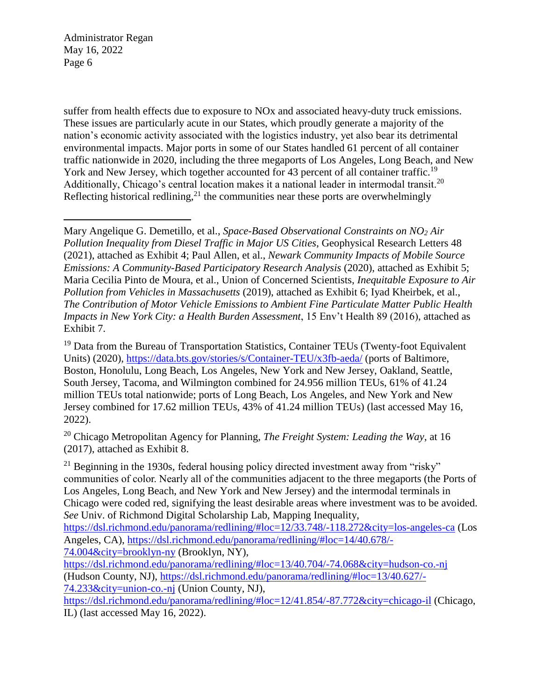$\overline{a}$ 

suffer from health effects due to exposure to NOx and associated heavy-duty truck emissions. These issues are particularly acute in our States, which proudly generate a majority of the nation's economic activity associated with the logistics industry, yet also bear its detrimental environmental impacts. Major ports in some of our States handled 61 percent of all container traffic nationwide in 2020, including the three megaports of Los Angeles, Long Beach, and New York and New Jersey, which together accounted for 43 percent of all container traffic.<sup>19</sup> Additionally, Chicago's central location makes it a national leader in intermodal transit.<sup>20</sup> Reflecting historical redlining,<sup>21</sup> the communities near these ports are overwhelmingly

Mary Angelique G. Demetillo, et al., *Space-Based Observational Constraints on NO<sup>2</sup> Air Pollution Inequality from Diesel Traffic in Major US Cities*, Geophysical Research Letters 48 (2021), attached as Exhibit 4; Paul Allen, et al., *Newark Community Impacts of Mobile Source Emissions: A Community-Based Participatory Research Analysis* (2020), attached as Exhibit 5; Maria Cecilia Pinto de Moura, et al., Union of Concerned Scientists, *Inequitable Exposure to Air Pollution from Vehicles in Massachusetts* (2019), attached as Exhibit 6; Iyad Kheirbek, et al., *The Contribution of Motor Vehicle Emissions to Ambient Fine Particulate Matter Public Health Impacts in New York City: a Health Burden Assessment*, 15 Env't Health 89 (2016), attached as Exhibit 7.

<sup>19</sup> Data from the Bureau of Transportation Statistics, Container TEUs (Twenty-foot Equivalent Units) (2020),<https://data.bts.gov/stories/s/Container-TEU/x3fb-aeda/> (ports of Baltimore, Boston, Honolulu, Long Beach, Los Angeles, New York and New Jersey, Oakland, Seattle, South Jersey, Tacoma, and Wilmington combined for 24.956 million TEUs, 61% of 41.24 million TEUs total nationwide; ports of Long Beach, Los Angeles, and New York and New Jersey combined for 17.62 million TEUs, 43% of 41.24 million TEUs) (last accessed May 16, 2022).

<sup>20</sup> Chicago Metropolitan Agency for Planning, *The Freight System: Leading the Way*, at 16 (2017), attached as Exhibit 8.

 $^{21}$  Beginning in the 1930s, federal housing policy directed investment away from "risky" communities of color. Nearly all of the communities adjacent to the three megaports (the Ports of Los Angeles, Long Beach, and New York and New Jersey) and the intermodal terminals in Chicago were coded red, signifying the least desirable areas where investment was to be avoided. *See* Univ. of Richmond Digital Scholarship Lab, Mapping Inequality,

<https://dsl.richmond.edu/panorama/redlining/#loc=12/33.748/-118.272&city=los-angeles-ca> (Los Angeles, CA), [https://dsl.richmond.edu/panorama/redlining/#loc=14/40.678/-](https://dsl.richmond.edu/panorama/redlining/#loc=14/40.678/-74.004&city=brooklyn-ny)

[74.004&city=brooklyn-ny](https://dsl.richmond.edu/panorama/redlining/#loc=14/40.678/-74.004&city=brooklyn-ny) (Brooklyn, NY), <https://dsl.richmond.edu/panorama/redlining/#loc=13/40.704/-74.068&city=hudson-co.-nj> (Hudson County, NJ), [https://dsl.richmond.edu/panorama/redlining/#loc=13/40.627/-](https://dsl.richmond.edu/panorama/redlining/#loc=13/40.627/-74.233&city=union-co.-nj)

[74.233&city=union-co.-nj](https://dsl.richmond.edu/panorama/redlining/#loc=13/40.627/-74.233&city=union-co.-nj) (Union County, NJ),

<https://dsl.richmond.edu/panorama/redlining/#loc=12/41.854/-87.772&city=chicago-il> (Chicago, IL) (last accessed May 16, 2022).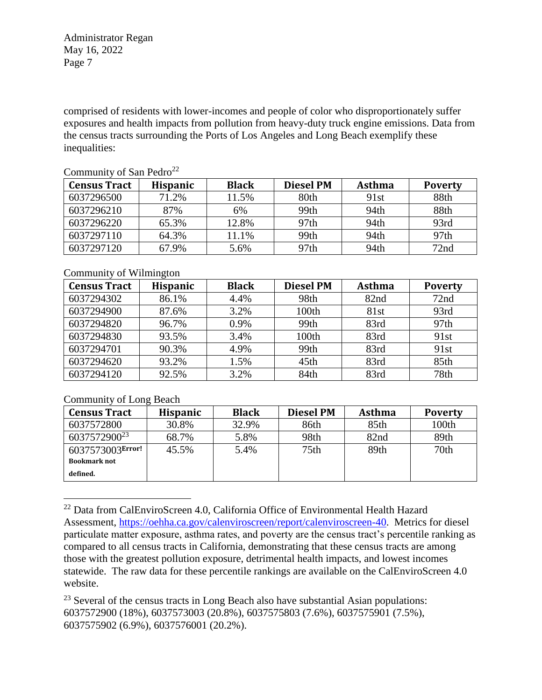comprised of residents with lower-incomes and people of color who disproportionately suffer exposures and health impacts from pollution from heavy-duty truck engine emissions. Data from the census tracts surrounding the Ports of Los Angeles and Long Beach exemplify these inequalities:

| <b>Census Tract</b> | <b>Hispanic</b> | <b>Black</b> | <b>Diesel PM</b> | Asthma | <b>Poverty</b>   |
|---------------------|-----------------|--------------|------------------|--------|------------------|
| 6037296500          | 71.2%           | 11.5%        | 80th             | 91st   | 88th             |
| 6037296210          | 87%             | 6%           | 99th             | 94th   | 88th             |
| 6037296220          | 65.3%           | 12.8%        | 97 <sub>th</sub> | 94th   | 93rd             |
| 6037297110          | 64.3%           | 11.1%        | 99th             | 94th   | 97 <sub>th</sub> |
| 6037297120          | 67.9%           | 5.6%         | 97th             | 94th   | 72nd             |

## Community of San Pedro<sup>22</sup>

### Community of Wilmington

| <b>Census Tract</b> | <b>Hispanic</b> | <b>Black</b> | <b>Diesel PM</b> | <b>Asthma</b> | <b>Poverty</b> |
|---------------------|-----------------|--------------|------------------|---------------|----------------|
| 6037294302          | 86.1%           | 4.4%         | 98th             | 82nd          | 72nd           |
| 6037294900          | 87.6%           | 3.2%         | 100th            | 81st          | 93rd           |
| 6037294820          | 96.7%           | 0.9%         | 99th             | 83rd          | 97th           |
| 6037294830          | 93.5%           | 3.4%         | 100th            | 83rd          | 91st           |
| 6037294701          | 90.3%           | 4.9%         | 99th             | 83rd          | 91st           |
| 6037294620          | 93.2%           | 1.5%         | 45th             | 83rd          | 85th           |
| 6037294120          | 92.5%           | 3.2%         | 84th             | 83rd          | 78th           |

### Community of Long Beach

 $\overline{a}$ 

| <b>Census Tract</b>      | <b>Hispanic</b> | <b>Black</b> | Diesel PM        | <b>Asthma</b> | <b>Poverty</b>   |
|--------------------------|-----------------|--------------|------------------|---------------|------------------|
| 6037572800               | 30.8%           | 32.9%        | 86th             | 85th          | 100th            |
| 6037572900 <sup>23</sup> | 68.7%           | 5.8%         | 98th             | 82nd          | 89th             |
| 6037573003Error!         | 45.5%           | 5.4%         | 75 <sub>th</sub> | 89th          | 70 <sub>th</sub> |
| <b>Bookmark not</b>      |                 |              |                  |               |                  |
| defined.                 |                 |              |                  |               |                  |

<sup>22</sup> Data from CalEnviroScreen 4.0, California Office of Environmental Health Hazard Assessment, [https://oehha.ca.gov/calenviroscreen/report/calenviroscreen-40.](https://oehha.ca.gov/calenviroscreen/report/calenviroscreen-40) Metrics for diesel particulate matter exposure, asthma rates, and poverty are the census tract's percentile ranking as compared to all census tracts in California, demonstrating that these census tracts are among those with the greatest pollution exposure, detrimental health impacts, and lowest incomes statewide. The raw data for these percentile rankings are available on the CalEnviroScreen 4.0 website.

 $23$  Several of the census tracts in Long Beach also have substantial Asian populations: 6037572900 (18%), 6037573003 (20.8%), 6037575803 (7.6%), 6037575901 (7.5%), 6037575902 (6.9%), 6037576001 (20.2%).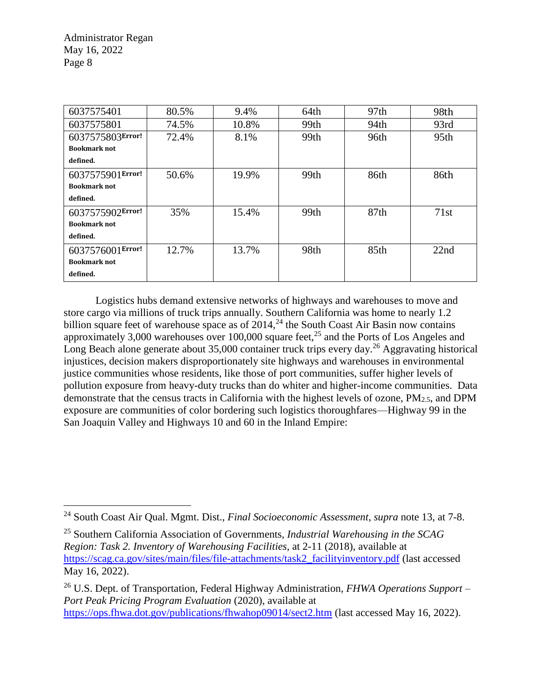$\overline{a}$ 

| 6037575401          | 80.5% | 9.4%  | 64th | 97th | 98th             |
|---------------------|-------|-------|------|------|------------------|
| 6037575801          | 74.5% | 10.8% | 99th | 94th | 93rd             |
| 6037575803Error!    | 72.4% | 8.1%  | 99th | 96th | 95 <sub>th</sub> |
| <b>Bookmark not</b> |       |       |      |      |                  |
| defined.            |       |       |      |      |                  |
| 6037575901Error!    | 50.6% | 19.9% | 99th | 86th | 86th             |
| <b>Bookmark not</b> |       |       |      |      |                  |
| defined.            |       |       |      |      |                  |
| 6037575902Error!    | 35%   | 15.4% | 99th | 87th | 71st             |
| <b>Bookmark not</b> |       |       |      |      |                  |
| defined.            |       |       |      |      |                  |
| 6037576001Error!    | 12.7% | 13.7% | 98th | 85th | 22nd             |
| <b>Bookmark not</b> |       |       |      |      |                  |
| defined.            |       |       |      |      |                  |

Logistics hubs demand extensive networks of highways and warehouses to move and store cargo via millions of truck trips annually. Southern California was home to nearly 1.2 billion square feet of warehouse space as of  $2014$ ,<sup>24</sup> the South Coast Air Basin now contains approximately 3,000 warehouses over 100,000 square feet,<sup>25</sup> and the Ports of Los Angeles and Long Beach alone generate about  $35,000$  container truck trips every day.<sup>26</sup> Aggravating historical injustices, decision makers disproportionately site highways and warehouses in environmental justice communities whose residents, like those of port communities, suffer higher levels of pollution exposure from heavy-duty trucks than do whiter and higher-income communities. Data demonstrate that the census tracts in California with the highest levels of ozone,  $PM_{2.5}$ , and DPM exposure are communities of color bordering such logistics thoroughfares—Highway 99 in the San Joaquin Valley and Highways 10 and 60 in the Inland Empire:

<sup>24</sup> South Coast Air Qual. Mgmt. Dist., *Final Socioeconomic Assessment*, *supra* note 13, at 7-8.

<sup>25</sup> Southern California Association of Governments, *Industrial Warehousing in the SCAG Region: Task 2. Inventory of Warehousing Facilities*, at 2-11 (2018), available at [https://scag.ca.gov/sites/main/files/file-attachments/task2\\_facilityinventory.pdf](https://scag.ca.gov/sites/main/files/file-attachments/task2_facilityinventory.pdf) (last accessed May 16, 2022).

<sup>26</sup> U.S. Dept. of Transportation, Federal Highway Administration, *FHWA Operations Support – Port Peak Pricing Program Evaluation* (2020), available at <https://ops.fhwa.dot.gov/publications/fhwahop09014/sect2.htm> (last accessed May 16, 2022).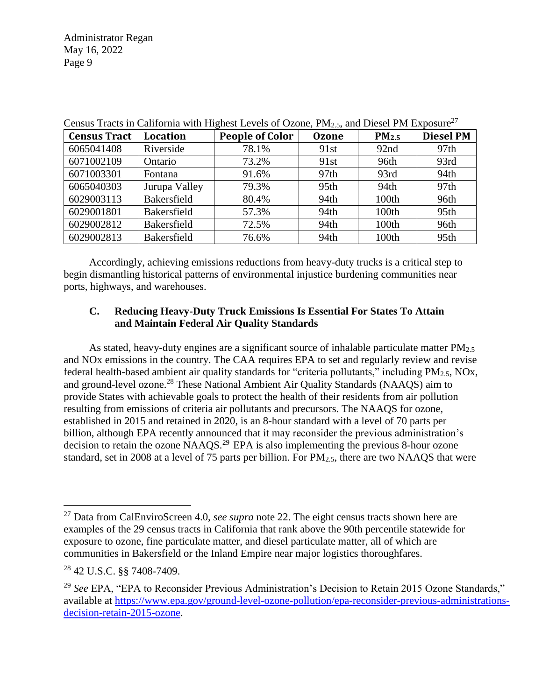| <b>Census Tract</b> | Location           | <b>People of Color</b> | <b>Ozone</b>     | PM <sub>2.5</sub> | <b>Diesel PM</b> |
|---------------------|--------------------|------------------------|------------------|-------------------|------------------|
| 6065041408          | Riverside          | 78.1%                  | 91st             | 92nd              | 97 <sub>th</sub> |
| 6071002109          | Ontario            | 73.2%                  | 91st             | 96th              | 93rd             |
| 6071003301          | Fontana            | 91.6%                  | 97 <sub>th</sub> | 93rd              | 94th             |
| 6065040303          | Jurupa Valley      | 79.3%                  | 95th             | 94th              | 97 <sub>th</sub> |
| 6029003113          | <b>Bakersfield</b> | 80.4%                  | 94th             | 100th             | 96th             |
| 6029001801          | <b>Bakersfield</b> | 57.3%                  | 94th             | 100th             | 95 <sub>th</sub> |
| 6029002812          | Bakersfield        | 72.5%                  | 94th             | 100th             | 96th             |
| 6029002813          | Bakersfield        | 76.6%                  | 94th             | 100th             | 95th             |

Census Tracts in California with Highest Levels of Ozone,  $PM_{2.5}$ , and Diesel PM Exposure<sup>27</sup>

Accordingly, achieving emissions reductions from heavy-duty trucks is a critical step to begin dismantling historical patterns of environmental injustice burdening communities near ports, highways, and warehouses.

### **C. Reducing Heavy-Duty Truck Emissions Is Essential For States To Attain and Maintain Federal Air Quality Standards**

As stated, heavy-duty engines are a significant source of inhalable particulate matter  $PM_{2.5}$ and NOx emissions in the country. The CAA requires EPA to set and regularly review and revise federal health-based ambient air quality standards for "criteria pollutants," including  $PM_{2.5}$ , NOx, and ground-level ozone.<sup>28</sup> These National Ambient Air Quality Standards (NAAQS) aim to provide States with achievable goals to protect the health of their residents from air pollution resulting from emissions of criteria air pollutants and precursors. The NAAQS for ozone, established in 2015 and retained in 2020, is an 8-hour standard with a level of 70 parts per billion, although EPA recently announced that it may reconsider the previous administration's decision to retain the ozone NAAQS.<sup>29</sup> EPA is also implementing the previous 8-hour ozone standard, set in 2008 at a level of 75 parts per billion. For PM2.5, there are two NAAQS that were

<sup>27</sup> Data from CalEnviroScreen 4.0, *see supra* note 22. The eight census tracts shown here are examples of the 29 census tracts in California that rank above the 90th percentile statewide for exposure to ozone, fine particulate matter, and diesel particulate matter, all of which are communities in Bakersfield or the Inland Empire near major logistics thoroughfares.

<sup>28</sup> 42 U.S.C. §§ 7408-7409.

<sup>&</sup>lt;sup>29</sup> See EPA, "EPA to Reconsider Previous Administration's Decision to Retain 2015 Ozone Standards," available at [https://www.epa.gov/ground-level-ozone-pollution/epa-reconsider-previous-administrations](https://www.epa.gov/ground-level-ozone-pollution/epa-reconsider-previous-administrations-decision-retain-2015-ozone)[decision-retain-2015-ozone.](https://www.epa.gov/ground-level-ozone-pollution/epa-reconsider-previous-administrations-decision-retain-2015-ozone)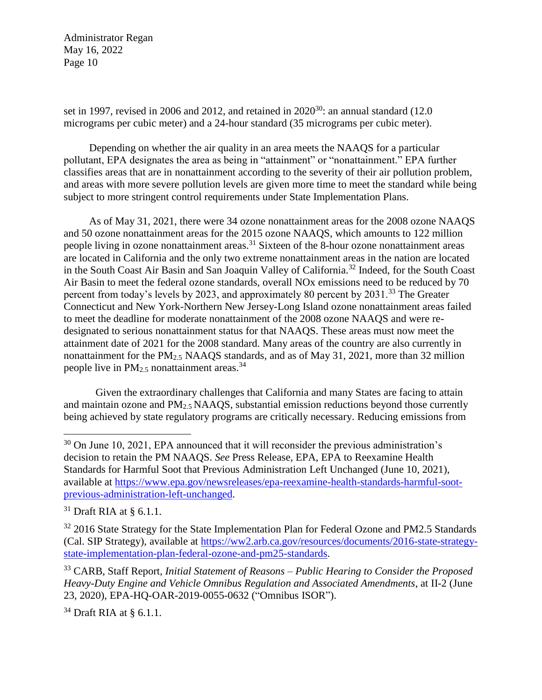set in 1997, revised in 2006 and 2012, and retained in  $2020^{30}$ : an annual standard (12.0) micrograms per cubic meter) and a 24-hour standard (35 micrograms per cubic meter).

Depending on whether the air quality in an area meets the NAAQS for a particular pollutant, EPA designates the area as being in "attainment" or "nonattainment." EPA further classifies areas that are in nonattainment according to the severity of their air pollution problem, and areas with more severe pollution levels are given more time to meet the standard while being subject to more stringent control requirements under State Implementation Plans.

As of May 31, 2021, there were 34 ozone nonattainment areas for the 2008 ozone NAAQS and 50 ozone nonattainment areas for the 2015 ozone NAAQS, which amounts to 122 million people living in ozone nonattainment areas.<sup>31</sup> Sixteen of the 8-hour ozone nonattainment areas are located in California and the only two extreme nonattainment areas in the nation are located in the South Coast Air Basin and San Joaquin Valley of California.<sup>32</sup> Indeed, for the South Coast Air Basin to meet the federal ozone standards, overall NOx emissions need to be reduced by 70 percent from today's levels by 2023, and approximately 80 percent by 2031.<sup>33</sup> The Greater Connecticut and New York-Northern New Jersey-Long Island ozone nonattainment areas failed to meet the deadline for moderate nonattainment of the 2008 ozone NAAQS and were redesignated to serious nonattainment status for that NAAQS. These areas must now meet the attainment date of 2021 for the 2008 standard. Many areas of the country are also currently in nonattainment for the PM<sub>2.5</sub> NAAOS standards, and as of May 31, 2021, more than 32 million people live in  $PM_{2.5}$  nonattainment areas.<sup>34</sup>

Given the extraordinary challenges that California and many States are facing to attain and maintain ozone and PM2.5 NAAQS, substantial emission reductions beyond those currently being achieved by state regulatory programs are critically necessary. Reducing emissions from

 $\overline{a}$ 

 $34$  Draft RIA at § 6.1.1.

<sup>&</sup>lt;sup>30</sup> On June 10, 2021, EPA announced that it will reconsider the previous administration's decision to retain the PM NAAQS. *See* Press Release, EPA, EPA to Reexamine Health Standards for Harmful Soot that Previous Administration Left Unchanged (June 10, 2021), available at [https://www.epa.gov/newsreleases/epa-reexamine-health-standards-harmful-soot](https://www.epa.gov/newsreleases/epa-reexamine-health-standards-harmful-soot-previous-administration-left-unchanged)[previous-administration-left-unchanged.](https://www.epa.gov/newsreleases/epa-reexamine-health-standards-harmful-soot-previous-administration-left-unchanged)

 $31$  Draft RIA at § 6.1.1.

 $32$  2016 State Strategy for the State Implementation Plan for Federal Ozone and PM2.5 Standards (Cal. SIP Strategy), available at [https://ww2.arb.ca.gov/resources/documents/2016-state-strategy](https://ww2.arb.ca.gov/resources/documents/2016-state-strategy-state-implementation-plan-federal-ozone-and-pm25-standards)[state-implementation-plan-federal-ozone-and-pm25-standards.](https://ww2.arb.ca.gov/resources/documents/2016-state-strategy-state-implementation-plan-federal-ozone-and-pm25-standards)

<sup>33</sup> CARB, Staff Report, *Initial Statement of Reasons* – *Public Hearing to Consider the Proposed Heavy-Duty Engine and Vehicle Omnibus Regulation and Associated Amendments*, at II-2 (June 23, 2020), EPA-HQ-OAR-2019-0055-0632 ("Omnibus ISOR").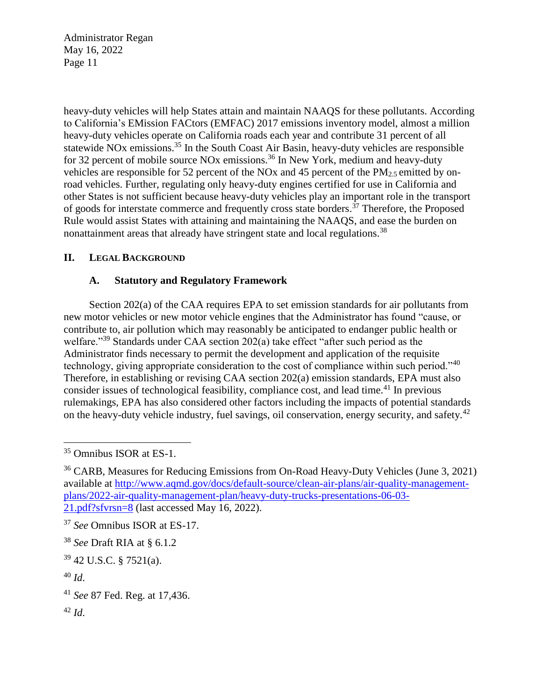heavy-duty vehicles will help States attain and maintain NAAQS for these pollutants. According to California's EMission FACtors (EMFAC) 2017 emissions inventory model, almost a million heavy-duty vehicles operate on California roads each year and contribute 31 percent of all statewide NOx emissions.<sup>35</sup> In the South Coast Air Basin, heavy-duty vehicles are responsible for 32 percent of mobile source NO<sub>x</sub> emissions.<sup>36</sup> In New York, medium and heavy-duty vehicles are responsible for 52 percent of the NOx and 45 percent of the  $PM_{2.5}$  emitted by onroad vehicles. Further, regulating only heavy-duty engines certified for use in California and other States is not sufficient because heavy-duty vehicles play an important role in the transport of goods for interstate commerce and frequently cross state borders.<sup>37</sup> Therefore, the Proposed Rule would assist States with attaining and maintaining the NAAQS, and ease the burden on nonattainment areas that already have stringent state and local regulations.<sup>38</sup>

## **II. LEGAL BACKGROUND**

### **A. Statutory and Regulatory Framework**

Section 202(a) of the CAA requires EPA to set emission standards for air pollutants from new motor vehicles or new motor vehicle engines that the Administrator has found "cause, or contribute to, air pollution which may reasonably be anticipated to endanger public health or welfare."<sup>39</sup> Standards under CAA section 202(a) take effect "after such period as the Administrator finds necessary to permit the development and application of the requisite technology, giving appropriate consideration to the cost of compliance within such period."<sup>40</sup> Therefore, in establishing or revising CAA section 202(a) emission standards, EPA must also consider issues of technological feasibility, compliance cost, and lead time.<sup>41</sup> In previous rulemakings, EPA has also considered other factors including the impacts of potential standards on the heavy-duty vehicle industry, fuel savings, oil conservation, energy security, and safety.<sup>42</sup>

 $\overline{a}$ 

<sup>42</sup> *Id*.

<sup>35</sup> Omnibus ISOR at ES-1.

<sup>36</sup> CARB, Measures for Reducing Emissions from On-Road Heavy-Duty Vehicles (June 3, 2021) available at [http://www.aqmd.gov/docs/default-source/clean-air-plans/air-quality-management](http://www.aqmd.gov/docs/default-source/clean-air-plans/air-quality-management-plans/2022-air-quality-management-plan/heavy-duty-trucks-presentations-06-03-21.pdf?sfvrsn=8)[plans/2022-air-quality-management-plan/heavy-duty-trucks-presentations-06-03-](http://www.aqmd.gov/docs/default-source/clean-air-plans/air-quality-management-plans/2022-air-quality-management-plan/heavy-duty-trucks-presentations-06-03-21.pdf?sfvrsn=8) [21.pdf?sfvrsn=8](http://www.aqmd.gov/docs/default-source/clean-air-plans/air-quality-management-plans/2022-air-quality-management-plan/heavy-duty-trucks-presentations-06-03-21.pdf?sfvrsn=8) (last accessed May 16, 2022).

<sup>37</sup> *See* Omnibus ISOR at ES-17.

<sup>38</sup> *See* Draft RIA at § 6.1.2

<sup>39</sup> 42 U.S.C. § 7521(a).

<sup>40</sup> *Id*.

<sup>41</sup> *See* 87 Fed. Reg. at 17,436.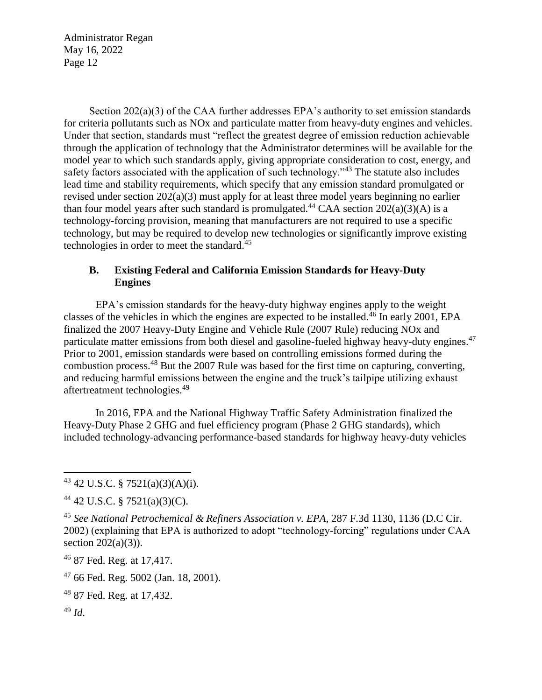Section 202(a)(3) of the CAA further addresses EPA's authority to set emission standards for criteria pollutants such as NOx and particulate matter from heavy-duty engines and vehicles. Under that section, standards must "reflect the greatest degree of emission reduction achievable through the application of technology that the Administrator determines will be available for the model year to which such standards apply, giving appropriate consideration to cost, energy, and safety factors associated with the application of such technology."<sup>43</sup> The statute also includes lead time and stability requirements, which specify that any emission standard promulgated or revised under section 202(a)(3) must apply for at least three model years beginning no earlier than four model years after such standard is promulgated.<sup>44</sup> CAA section  $202(a)(3)(A)$  is a technology-forcing provision, meaning that manufacturers are not required to use a specific technology, but may be required to develop new technologies or significantly improve existing technologies in order to meet the standard.<sup>45</sup>

## **B. Existing Federal and California Emission Standards for Heavy-Duty Engines**

EPA's emission standards for the heavy-duty highway engines apply to the weight classes of the vehicles in which the engines are expected to be installed.<sup>46</sup> In early 2001, EPA finalized the 2007 Heavy-Duty Engine and Vehicle Rule (2007 Rule) reducing NOx and particulate matter emissions from both diesel and gasoline-fueled highway heavy-duty engines.<sup>47</sup> Prior to 2001, emission standards were based on controlling emissions formed during the combustion process.<sup>48</sup> But the 2007 Rule was based for the first time on capturing, converting, and reducing harmful emissions between the engine and the truck's tailpipe utilizing exhaust aftertreatment technologies.<sup>49</sup>

In 2016, EPA and the National Highway Traffic Safety Administration finalized the Heavy-Duty Phase 2 GHG and fuel efficiency program (Phase 2 GHG standards), which included technology-advancing performance-based standards for highway heavy-duty vehicles

<sup>46</sup> 87 Fed. Reg. at 17,417.

<sup>47</sup> 66 Fed. Reg. 5002 (Jan. 18, 2001).

<sup>48</sup> 87 Fed. Reg. at 17,432.

<sup>49</sup> *Id*.

<sup>43</sup> 42 U.S.C. § 7521(a)(3)(A)(i).

<sup>44</sup> 42 U.S.C. § 7521(a)(3)(C).

<sup>45</sup> *See National Petrochemical & Refiners Association v. EPA*, 287 F.3d 1130, 1136 (D.C Cir. 2002) (explaining that EPA is authorized to adopt "technology-forcing" regulations under CAA section  $202(a)(3)$ ).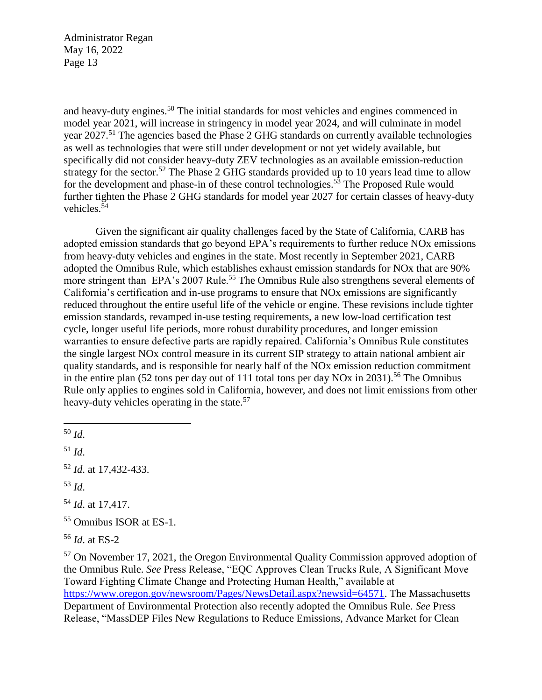and heavy-duty engines.<sup>50</sup> The initial standards for most vehicles and engines commenced in model year 2021, will increase in stringency in model year 2024, and will culminate in model year 2027.<sup>51</sup> The agencies based the Phase 2 GHG standards on currently available technologies as well as technologies that were still under development or not yet widely available, but specifically did not consider heavy-duty ZEV technologies as an available emission-reduction strategy for the sector.<sup>52</sup> The Phase 2 GHG standards provided up to 10 years lead time to allow for the development and phase-in of these control technologies.<sup>53</sup> The Proposed Rule would further tighten the Phase 2 GHG standards for model year 2027 for certain classes of heavy-duty vehicles.<sup>54</sup>

Given the significant air quality challenges faced by the State of California, CARB has adopted emission standards that go beyond EPA's requirements to further reduce NOx emissions from heavy-duty vehicles and engines in the state. Most recently in September 2021, CARB adopted the Omnibus Rule, which establishes exhaust emission standards for NOx that are 90% more stringent than EPA's 2007 Rule.<sup>55</sup> The Omnibus Rule also strengthens several elements of California's certification and in-use programs to ensure that NOx emissions are significantly reduced throughout the entire useful life of the vehicle or engine. These revisions include tighter emission standards, revamped in-use testing requirements, a new low-load certification test cycle, longer useful life periods, more robust durability procedures, and longer emission warranties to ensure defective parts are rapidly repaired. California's Omnibus Rule constitutes the single largest NOx control measure in its current SIP strategy to attain national ambient air quality standards, and is responsible for nearly half of the NOx emission reduction commitment in the entire plan (52 tons per day out of 111 total tons per day NO<sub>x</sub> in 2031).<sup>56</sup> The Omnibus Rule only applies to engines sold in California, however, and does not limit emissions from other heavy-duty vehicles operating in the state.<sup>57</sup>

 $\overline{a}$ 

<sup>51</sup> *Id*.

<sup>52</sup> *Id*. at 17,432-433.

<sup>53</sup> *Id*.

<sup>54</sup> *Id*. at 17,417.

<sup>55</sup> Omnibus ISOR at ES-1.

<sup>56</sup> *Id*. at ES-2

<sup>57</sup> On November 17, 2021, the Oregon Environmental Quality Commission approved adoption of the Omnibus Rule. *See* Press Release, "EQC Approves Clean Trucks Rule, A Significant Move Toward Fighting Climate Change and Protecting Human Health," available at [https://www.oregon.gov/newsroom/Pages/NewsDetail.aspx?newsid=64571.](https://www.oregon.gov/newsroom/Pages/NewsDetail.aspx?newsid=64571) The Massachusetts Department of Environmental Protection also recently adopted the Omnibus Rule. *See* Press Release, "MassDEP Files New Regulations to Reduce Emissions, Advance Market for Clean

<sup>50</sup> *Id*.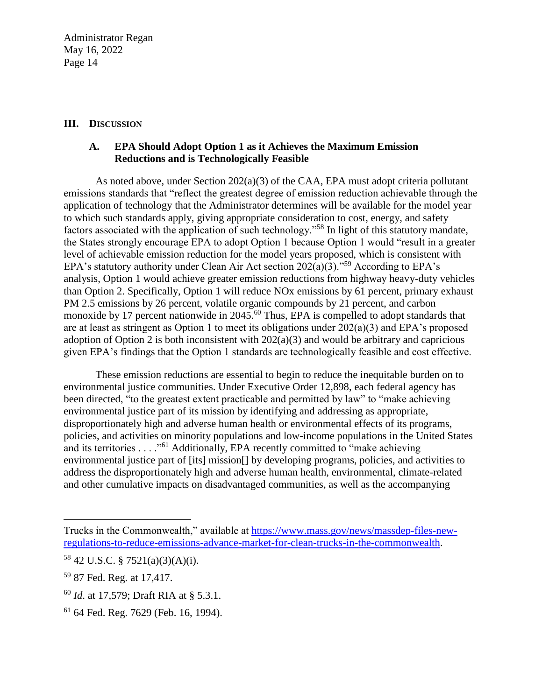### **III. DISCUSSION**

## **A. EPA Should Adopt Option 1 as it Achieves the Maximum Emission Reductions and is Technologically Feasible**

As noted above, under Section  $202(a)(3)$  of the CAA, EPA must adopt criteria pollutant emissions standards that "reflect the greatest degree of emission reduction achievable through the application of technology that the Administrator determines will be available for the model year to which such standards apply, giving appropriate consideration to cost, energy, and safety factors associated with the application of such technology."<sup>58</sup> In light of this statutory mandate, the States strongly encourage EPA to adopt Option 1 because Option 1 would "result in a greater level of achievable emission reduction for the model years proposed, which is consistent with EPA's statutory authority under Clean Air Act section  $202(a)(3)$ ."<sup>59</sup> According to EPA's analysis, Option 1 would achieve greater emission reductions from highway heavy-duty vehicles than Option 2. Specifically, Option 1 will reduce NOx emissions by 61 percent, primary exhaust PM 2.5 emissions by 26 percent, volatile organic compounds by 21 percent, and carbon monoxide by 17 percent nationwide in 2045.<sup>60</sup> Thus, EPA is compelled to adopt standards that are at least as stringent as Option 1 to meet its obligations under 202(a)(3) and EPA's proposed adoption of Option 2 is both inconsistent with  $202(a)(3)$  and would be arbitrary and capricious given EPA's findings that the Option 1 standards are technologically feasible and cost effective.

These emission reductions are essential to begin to reduce the inequitable burden on to environmental justice communities. Under Executive Order 12,898, each federal agency has been directed, "to the greatest extent practicable and permitted by law" to "make achieving environmental justice part of its mission by identifying and addressing as appropriate, disproportionately high and adverse human health or environmental effects of its programs, policies, and activities on minority populations and low-income populations in the United States and its territories . . . . "<sup>61</sup> Additionally, EPA recently committed to "make achieving environmental justice part of [its] mission[] by developing programs, policies, and activities to address the disproportionately high and adverse human health, environmental, climate-related and other cumulative impacts on disadvantaged communities, as well as the accompanying

Trucks in the Commonwealth," available at [https://www.mass.gov/news/massdep-files-new](https://www.mass.gov/news/massdep-files-new-regulations-to-reduce-emissions-advance-market-for-clean-trucks-in-the-commonwealth)[regulations-to-reduce-emissions-advance-market-for-clean-trucks-in-the-commonwealth.](https://www.mass.gov/news/massdep-files-new-regulations-to-reduce-emissions-advance-market-for-clean-trucks-in-the-commonwealth)

 $58$  42 U.S.C. § 7521(a)(3)(A)(i).

<sup>59</sup> 87 Fed. Reg. at 17,417.

<sup>60</sup> *Id*. at 17,579; Draft RIA at § 5.3.1.

<sup>61</sup> 64 Fed. Reg. 7629 (Feb. 16, 1994).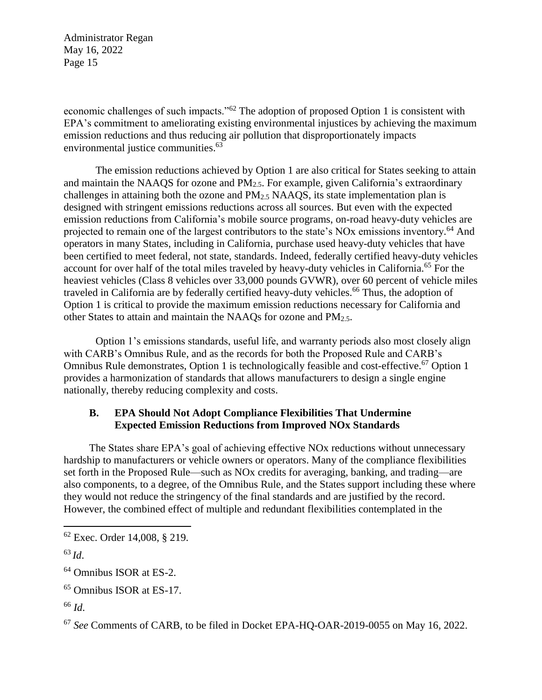economic challenges of such impacts."<sup>62</sup> The adoption of proposed Option 1 is consistent with EPA's commitment to ameliorating existing environmental injustices by achieving the maximum emission reductions and thus reducing air pollution that disproportionately impacts environmental justice communities.<sup>63</sup>

The emission reductions achieved by Option 1 are also critical for States seeking to attain and maintain the NAAQS for ozone and PM2.5. For example, given California's extraordinary challenges in attaining both the ozone and  $PM<sub>2.5</sub> NAAOS$ , its state implementation plan is designed with stringent emissions reductions across all sources. But even with the expected emission reductions from California's mobile source programs, on-road heavy-duty vehicles are projected to remain one of the largest contributors to the state's NOx emissions inventory.<sup>64</sup> And operators in many States, including in California, purchase used heavy-duty vehicles that have been certified to meet federal, not state, standards. Indeed, federally certified heavy-duty vehicles account for over half of the total miles traveled by heavy-duty vehicles in California.<sup>65</sup> For the heaviest vehicles (Class 8 vehicles over 33,000 pounds GVWR), over 60 percent of vehicle miles traveled in California are by federally certified heavy-duty vehicles.<sup>66</sup> Thus, the adoption of Option 1 is critical to provide the maximum emission reductions necessary for California and other States to attain and maintain the NAAQs for ozone and PM2.5.

Option 1's emissions standards, useful life, and warranty periods also most closely align with CARB's Omnibus Rule, and as the records for both the Proposed Rule and CARB's Omnibus Rule demonstrates, Option 1 is technologically feasible and cost-effective.<sup>67</sup> Option 1 provides a harmonization of standards that allows manufacturers to design a single engine nationally, thereby reducing complexity and costs.

## **B. EPA Should Not Adopt Compliance Flexibilities That Undermine Expected Emission Reductions from Improved NOx Standards**

The States share EPA's goal of achieving effective NOx reductions without unnecessary hardship to manufacturers or vehicle owners or operators. Many of the compliance flexibilities set forth in the Proposed Rule—such as NOx credits for averaging, banking, and trading—are also components, to a degree, of the Omnibus Rule, and the States support including these where they would not reduce the stringency of the final standards and are justified by the record. However, the combined effect of multiple and redundant flexibilities contemplated in the

 $\overline{a}$ 

<sup>66</sup> *Id*.

<sup>62</sup> Exec. Order 14,008, § 219.

<sup>63</sup> *Id*.

<sup>64</sup> Omnibus ISOR at ES-2.

<sup>65</sup> Omnibus ISOR at ES-17.

<sup>67</sup> *See* Comments of CARB, to be filed in Docket EPA-HQ-OAR-2019-0055 on May 16, 2022.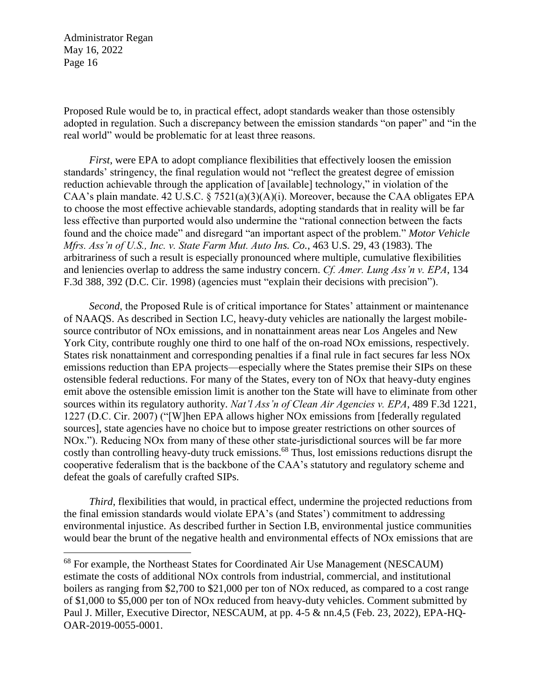$\overline{a}$ 

Proposed Rule would be to, in practical effect, adopt standards weaker than those ostensibly adopted in regulation. Such a discrepancy between the emission standards "on paper" and "in the real world" would be problematic for at least three reasons.

*First*, were EPA to adopt compliance flexibilities that effectively loosen the emission standards' stringency, the final regulation would not "reflect the greatest degree of emission reduction achievable through the application of [available] technology," in violation of the CAA's plain mandate. 42 U.S.C. § 7521(a)(3)(A)(i). Moreover, because the CAA obligates EPA to choose the most effective achievable standards, adopting standards that in reality will be far less effective than purported would also undermine the "rational connection between the facts found and the choice made" and disregard "an important aspect of the problem." *Motor Vehicle Mfrs. Ass'n of U.S., Inc. v. State Farm Mut. Auto Ins. Co.*, 463 U.S. 29, 43 (1983). The arbitrariness of such a result is especially pronounced where multiple, cumulative flexibilities and leniencies overlap to address the same industry concern. *Cf. Amer. Lung Ass'n v. EPA*, 134 F.3d 388, 392 (D.C. Cir. 1998) (agencies must "explain their decisions with precision").

*Second*, the Proposed Rule is of critical importance for States' attainment or maintenance of NAAQS. As described in Section I.C, heavy-duty vehicles are nationally the largest mobilesource contributor of NOx emissions, and in nonattainment areas near Los Angeles and New York City, contribute roughly one third to one half of the on-road NOx emissions, respectively. States risk nonattainment and corresponding penalties if a final rule in fact secures far less NOx emissions reduction than EPA projects—especially where the States premise their SIPs on these ostensible federal reductions. For many of the States, every ton of NOx that heavy-duty engines emit above the ostensible emission limit is another ton the State will have to eliminate from other sources within its regulatory authority. *Nat'l Ass'n of Clean Air Agencies v. EPA*, 489 F.3d 1221, 1227 (D.C. Cir. 2007) ("[W]hen EPA allows higher NOx emissions from [federally regulated sources], state agencies have no choice but to impose greater restrictions on other sources of NOx."). Reducing NOx from many of these other state-jurisdictional sources will be far more costly than controlling heavy-duty truck emissions.<sup>68</sup> Thus, lost emissions reductions disrupt the cooperative federalism that is the backbone of the CAA's statutory and regulatory scheme and defeat the goals of carefully crafted SIPs.

*Third*, flexibilities that would, in practical effect, undermine the projected reductions from the final emission standards would violate EPA's (and States') commitment to addressing environmental injustice. As described further in Section I.B, environmental justice communities would bear the brunt of the negative health and environmental effects of NOx emissions that are

<sup>&</sup>lt;sup>68</sup> For example, the Northeast States for Coordinated Air Use Management (NESCAUM) estimate the costs of additional NOx controls from industrial, commercial, and institutional boilers as ranging from \$2,700 to \$21,000 per ton of NOx reduced, as compared to a cost range of \$1,000 to \$5,000 per ton of NOx reduced from heavy-duty vehicles. Comment submitted by Paul J. Miller, Executive Director, NESCAUM, at pp. 4-5 & nn.4,5 (Feb. 23, 2022), EPA-HQ-OAR-2019-0055-0001.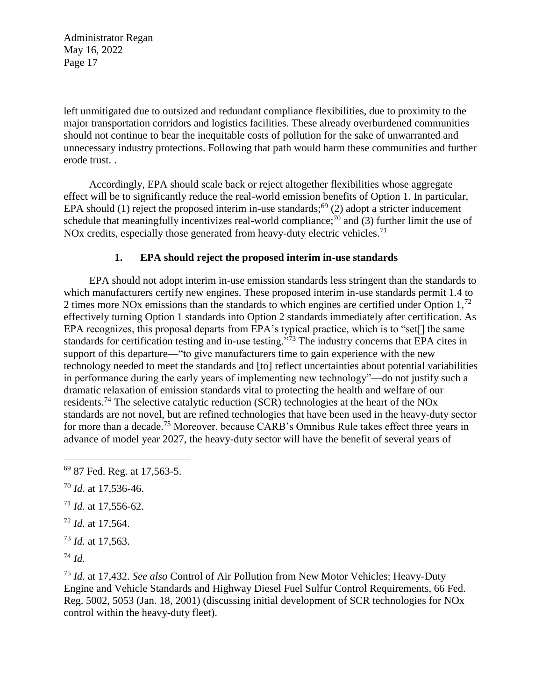left unmitigated due to outsized and redundant compliance flexibilities, due to proximity to the major transportation corridors and logistics facilities. These already overburdened communities should not continue to bear the inequitable costs of pollution for the sake of unwarranted and unnecessary industry protections. Following that path would harm these communities and further erode trust. .

Accordingly, EPA should scale back or reject altogether flexibilities whose aggregate effect will be to significantly reduce the real-world emission benefits of Option 1. In particular, EPA should (1) reject the proposed interim in-use standards;<sup>69</sup> (2) adopt a stricter inducement schedule that meaningfully incentivizes real-world compliance;<sup>70</sup> and  $(3)$  further limit the use of NOx credits, especially those generated from heavy-duty electric vehicles.<sup>71</sup>

### **1. EPA should reject the proposed interim in-use standards**

EPA should not adopt interim in-use emission standards less stringent than the standards to which manufacturers certify new engines. These proposed interim in-use standards permit 1.4 to 2 times more NOx emissions than the standards to which engines are certified under Option  $1<sup>72</sup>$ effectively turning Option 1 standards into Option 2 standards immediately after certification. As EPA recognizes, this proposal departs from EPA's typical practice, which is to "set[] the same standards for certification testing and in-use testing."<sup>73</sup> The industry concerns that EPA cites in support of this departure—"to give manufacturers time to gain experience with the new technology needed to meet the standards and [to] reflect uncertainties about potential variabilities in performance during the early years of implementing new technology"—do not justify such a dramatic relaxation of emission standards vital to protecting the health and welfare of our residents.<sup>74</sup> The selective catalytic reduction (SCR) technologies at the heart of the NOx standards are not novel, but are refined technologies that have been used in the heavy-duty sector for more than a decade.<sup>75</sup> Moreover, because CARB's Omnibus Rule takes effect three years in advance of model year 2027, the heavy-duty sector will have the benefit of several years of

- <sup>71</sup> *Id*. at 17,556-62.
- <sup>72</sup> *Id.* at 17,564.
- <sup>73</sup> *Id.* at 17,563.

<sup>74</sup> *Id.*

 $\overline{a}$ 

<sup>75</sup> *Id.* at 17,432. *See also* Control of Air Pollution from New Motor Vehicles: Heavy-Duty Engine and Vehicle Standards and Highway Diesel Fuel Sulfur Control Requirements, 66 Fed. Reg. 5002, 5053 (Jan. 18, 2001) (discussing initial development of SCR technologies for NOx control within the heavy-duty fleet).

<sup>69</sup> 87 Fed. Reg. at 17,563-5.

<sup>70</sup> *Id*. at 17,536-46.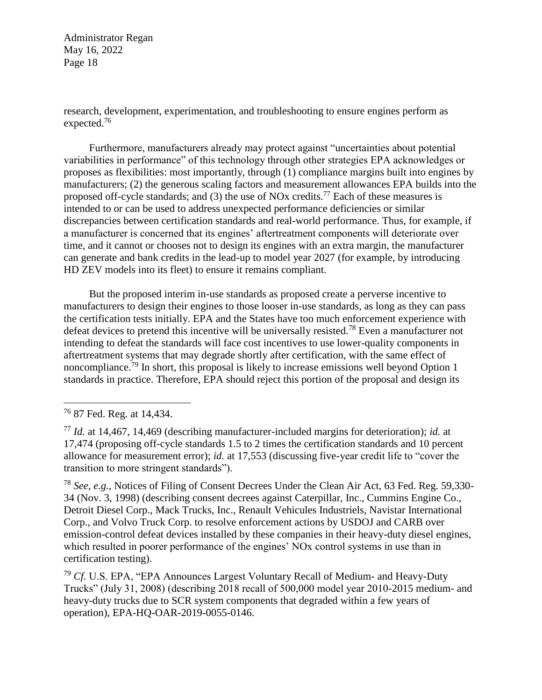research, development, experimentation, and troubleshooting to ensure engines perform as expected.<sup>76</sup>

Furthermore, manufacturers already may protect against "uncertainties about potential variabilities in performance" of this technology through other strategies EPA acknowledges or proposes as flexibilities: most importantly, through (1) compliance margins built into engines by manufacturers; (2) the generous scaling factors and measurement allowances EPA builds into the proposed off-cycle standards; and  $(3)$  the use of NOx credits.<sup>77</sup> Each of these measures is intended to or can be used to address unexpected performance deficiencies or similar discrepancies between certification standards and real-world performance. Thus, for example, if a manufacturer is concerned that its engines' aftertreatment components will deteriorate over time, and it cannot or chooses not to design its engines with an extra margin, the manufacturer can generate and bank credits in the lead-up to model year 2027 (for example, by introducing HD ZEV models into its fleet) to ensure it remains compliant.

But the proposed interim in-use standards as proposed create a perverse incentive to manufacturers to design their engines to those looser in-use standards, as long as they can pass the certification tests initially. EPA and the States have too much enforcement experience with defeat devices to pretend this incentive will be universally resisted.<sup>78</sup> Even a manufacturer not intending to defeat the standards will face cost incentives to use lower-quality components in aftertreatment systems that may degrade shortly after certification, with the same effect of noncompliance.<sup>79</sup> In short, this proposal is likely to increase emissions well beyond Option 1 standards in practice. Therefore, EPA should reject this portion of the proposal and design its

 $\overline{a}$ 

<sup>78</sup> *See, e.g.*, Notices of Filing of Consent Decrees Under the Clean Air Act, 63 Fed. Reg. 59,330- 34 (Nov. 3, 1998) (describing consent decrees against Caterpillar, Inc., Cummins Engine Co., Detroit Diesel Corp., Mack Trucks, Inc., Renault Vehicules Industriels, Navistar International Corp., and Volvo Truck Corp. to resolve enforcement actions by USDOJ and CARB over emission-control defeat devices installed by these companies in their heavy-duty diesel engines, which resulted in poorer performance of the engines' NOx control systems in use than in certification testing).

<sup>79</sup> *Cf.* U.S. EPA, "EPA Announces Largest Voluntary Recall of Medium- and Heavy-Duty Trucks" (July 31, 2008) (describing 2018 recall of 500,000 model year 2010-2015 medium- and heavy-duty trucks due to SCR system components that degraded within a few years of operation), EPA-HQ-OAR-2019-0055-0146.

<sup>76</sup> 87 Fed. Reg. at 14,434.

<sup>77</sup> *Id.* at 14,467, 14,469 (describing manufacturer-included margins for deterioration); *id.* at 17,474 (proposing off-cycle standards 1.5 to 2 times the certification standards and 10 percent allowance for measurement error); *id.* at 17,553 (discussing five-year credit life to "cover the transition to more stringent standards").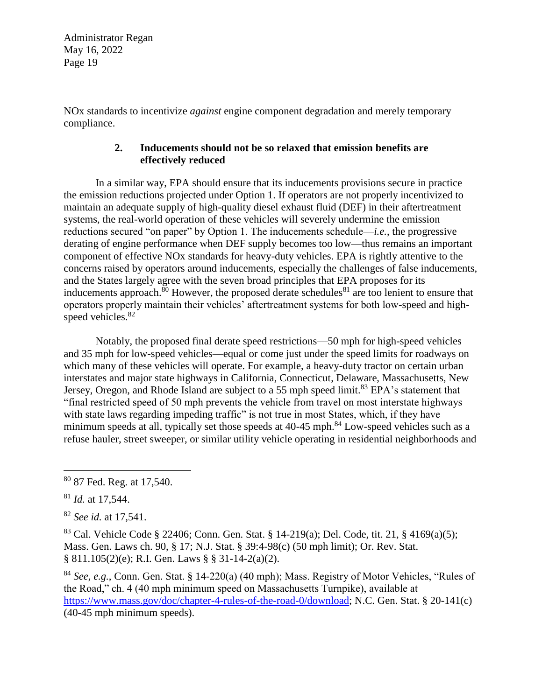NOx standards to incentivize *against* engine component degradation and merely temporary compliance.

## **2. Inducements should not be so relaxed that emission benefits are effectively reduced**

In a similar way, EPA should ensure that its inducements provisions secure in practice the emission reductions projected under Option 1. If operators are not properly incentivized to maintain an adequate supply of high-quality diesel exhaust fluid (DEF) in their aftertreatment systems, the real-world operation of these vehicles will severely undermine the emission reductions secured "on paper" by Option 1. The inducements schedule—*i.e.*, the progressive derating of engine performance when DEF supply becomes too low—thus remains an important component of effective NOx standards for heavy-duty vehicles. EPA is rightly attentive to the concerns raised by operators around inducements, especially the challenges of false inducements, and the States largely agree with the seven broad principles that EPA proposes for its inducements approach. $80$  However, the proposed derate schedules  $81$  are too lenient to ensure that operators properly maintain their vehicles' aftertreatment systems for both low-speed and highspeed vehicles.<sup>82</sup>

Notably, the proposed final derate speed restrictions—50 mph for high-speed vehicles and 35 mph for low-speed vehicles—equal or come just under the speed limits for roadways on which many of these vehicles will operate. For example, a heavy-duty tractor on certain urban interstates and major state highways in California, Connecticut, Delaware, Massachusetts, New Jersey, Oregon, and Rhode Island are subject to a 55 mph speed limit.<sup>83</sup> EPA's statement that "final restricted speed of 50 mph prevents the vehicle from travel on most interstate highways with state laws regarding impeding traffic" is not true in most States, which, if they have minimum speeds at all, typically set those speeds at  $40-45$  mph.<sup>84</sup> Low-speed vehicles such as a refuse hauler, street sweeper, or similar utility vehicle operating in residential neighborhoods and

<sup>83</sup> Cal. Vehicle Code § 22406; Conn. Gen. Stat. § 14-219(a); Del. Code, tit. 21, § 4169(a)(5); Mass. Gen. Laws ch. 90, § 17; N.J. Stat. § 39:4-98(c) (50 mph limit); Or. Rev. Stat. § 811.105(2)(e); R.I. Gen. Laws § § 31-14-2(a)(2).

<sup>84</sup> *See, e.g.*, Conn. Gen. Stat. § 14-220(a) (40 mph); Mass. Registry of Motor Vehicles, "Rules of the Road," ch. 4 (40 mph minimum speed on Massachusetts Turnpike), available at [https://www.mass.gov/doc/chapter-4-rules-of-the-road-0/download;](https://www.mass.gov/doc/chapter-4-rules-of-the-road-0/download) N.C. Gen. Stat. § 20-141(c) (40-45 mph minimum speeds).

 $\overline{a}$ <sup>80</sup> 87 Fed. Reg. at 17,540.

<sup>81</sup> *Id.* at 17,544.

<sup>82</sup> *See id.* at 17,541.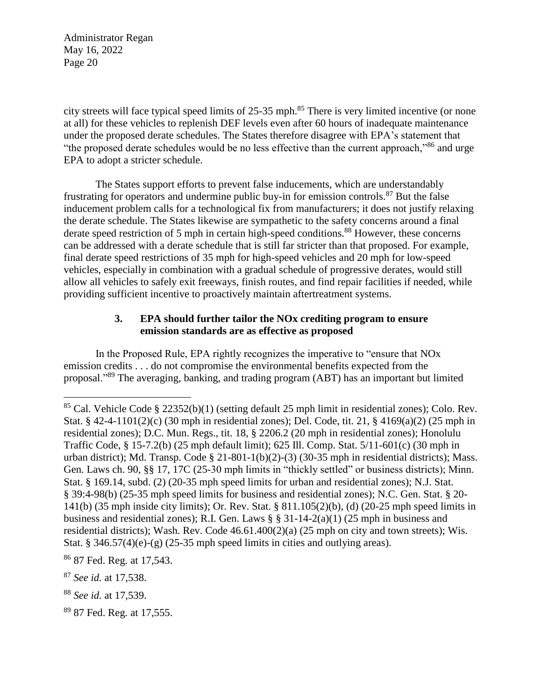city streets will face typical speed limits of 25-35 mph.<sup>85</sup> There is very limited incentive (or none at all) for these vehicles to replenish DEF levels even after 60 hours of inadequate maintenance under the proposed derate schedules. The States therefore disagree with EPA's statement that "the proposed derate schedules would be no less effective than the current approach,"<sup>86</sup> and urge EPA to adopt a stricter schedule.

The States support efforts to prevent false inducements, which are understandably frustrating for operators and undermine public buy-in for emission controls.<sup>87</sup> But the false inducement problem calls for a technological fix from manufacturers; it does not justify relaxing the derate schedule. The States likewise are sympathetic to the safety concerns around a final derate speed restriction of 5 mph in certain high-speed conditions.<sup>88</sup> However, these concerns can be addressed with a derate schedule that is still far stricter than that proposed. For example, final derate speed restrictions of 35 mph for high-speed vehicles and 20 mph for low-speed vehicles, especially in combination with a gradual schedule of progressive derates, would still allow all vehicles to safely exit freeways, finish routes, and find repair facilities if needed, while providing sufficient incentive to proactively maintain aftertreatment systems.

## **3. EPA should further tailor the NOx crediting program to ensure emission standards are as effective as proposed**

In the Proposed Rule, EPA rightly recognizes the imperative to "ensure that NOx emission credits . . . do not compromise the environmental benefits expected from the proposal."<sup>89</sup> The averaging, banking, and trading program (ABT) has an important but limited

<sup>85</sup> Cal. Vehicle Code § 22352(b)(1) (setting default 25 mph limit in residential zones); Colo. Rev. Stat. § 42-4-1101(2)(c) (30 mph in residential zones); Del. Code, tit. 21, § 4169(a)(2) (25 mph in residential zones); D.C. Mun. Regs., tit. 18, § 2206.2 (20 mph in residential zones); Honolulu Traffic Code, § 15-7.2(b) (25 mph default limit); 625 Ill. Comp. Stat. 5/11-601(c) (30 mph in urban district); Md. Transp. Code § 21-801-1(b)(2)-(3) (30-35 mph in residential districts); Mass. Gen. Laws ch. 90, §§ 17, 17C (25-30 mph limits in "thickly settled" or business districts); Minn. Stat. § 169.14, subd. (2) (20-35 mph speed limits for urban and residential zones); N.J. Stat. § 39:4-98(b) (25-35 mph speed limits for business and residential zones); N.C. Gen. Stat. § 20- 141(b) (35 mph inside city limits); Or. Rev. Stat. § 811.105(2)(b), (d) (20-25 mph speed limits in business and residential zones); R.I. Gen. Laws § § 31-14-2(a)(1) (25 mph in business and residential districts); Wash. Rev. Code 46.61.400(2)(a) (25 mph on city and town streets); Wis. Stat. § 346.57(4)(e)-(g) (25-35 mph speed limits in cities and outlying areas).

<sup>86</sup> 87 Fed. Reg. at 17,543.

<sup>87</sup> *See id.* at 17,538.

<sup>88</sup> *See id.* at 17,539.

<sup>89</sup> 87 Fed. Reg. at 17,555.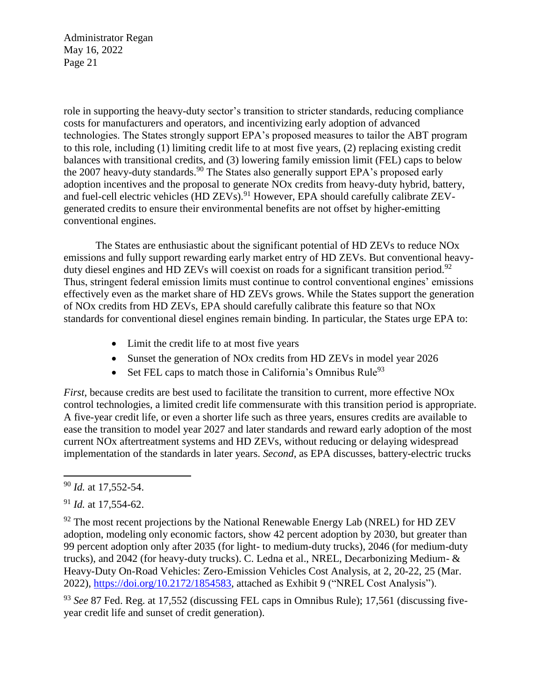role in supporting the heavy-duty sector's transition to stricter standards, reducing compliance costs for manufacturers and operators, and incentivizing early adoption of advanced technologies. The States strongly support EPA's proposed measures to tailor the ABT program to this role, including (1) limiting credit life to at most five years, (2) replacing existing credit balances with transitional credits, and (3) lowering family emission limit (FEL) caps to below the 2007 heavy-duty standards.<sup>90</sup> The States also generally support EPA's proposed early adoption incentives and the proposal to generate NOx credits from heavy-duty hybrid, battery, and fuel-cell electric vehicles (HD ZEVs).<sup>91</sup> However, EPA should carefully calibrate ZEVgenerated credits to ensure their environmental benefits are not offset by higher-emitting conventional engines.

The States are enthusiastic about the significant potential of HD ZEVs to reduce NOx emissions and fully support rewarding early market entry of HD ZEVs. But conventional heavyduty diesel engines and HD ZEVs will coexist on roads for a significant transition period.<sup>92</sup> Thus, stringent federal emission limits must continue to control conventional engines' emissions effectively even as the market share of HD ZEVs grows. While the States support the generation of NOx credits from HD ZEVs, EPA should carefully calibrate this feature so that NOx standards for conventional diesel engines remain binding. In particular, the States urge EPA to:

- Limit the credit life to at most five years
- Sunset the generation of NOx credits from HD ZEVs in model year 2026
- Set FEL caps to match those in California's Omnibus Rule<sup>93</sup>

*First*, because credits are best used to facilitate the transition to current, more effective NOx control technologies, a limited credit life commensurate with this transition period is appropriate. A five-year credit life, or even a shorter life such as three years, ensures credits are available to ease the transition to model year 2027 and later standards and reward early adoption of the most current NOx aftertreatment systems and HD ZEVs, without reducing or delaying widespread implementation of the standards in later years. *Second*, as EPA discusses, battery-electric trucks

 $\overline{a}$ 

<sup>93</sup> *See* 87 Fed. Reg. at 17,552 (discussing FEL caps in Omnibus Rule); 17,561 (discussing fiveyear credit life and sunset of credit generation).

<sup>90</sup> *Id.* at 17,552-54.

<sup>91</sup> *Id.* at 17,554-62.

 $92$  The most recent projections by the National Renewable Energy Lab (NREL) for HD ZEV adoption, modeling only economic factors, show 42 percent adoption by 2030, but greater than 99 percent adoption only after 2035 (for light- to medium-duty trucks), 2046 (for medium-duty trucks), and 2042 (for heavy-duty trucks). C. Ledna et al., NREL, Decarbonizing Medium- & Heavy-Duty On-Road Vehicles: Zero-Emission Vehicles Cost Analysis, at 2, 20-22, 25 (Mar. 2022), [https://doi.org/10.2172/1854583,](https://doi.org/10.2172/1854583) attached as Exhibit 9 ("NREL Cost Analysis").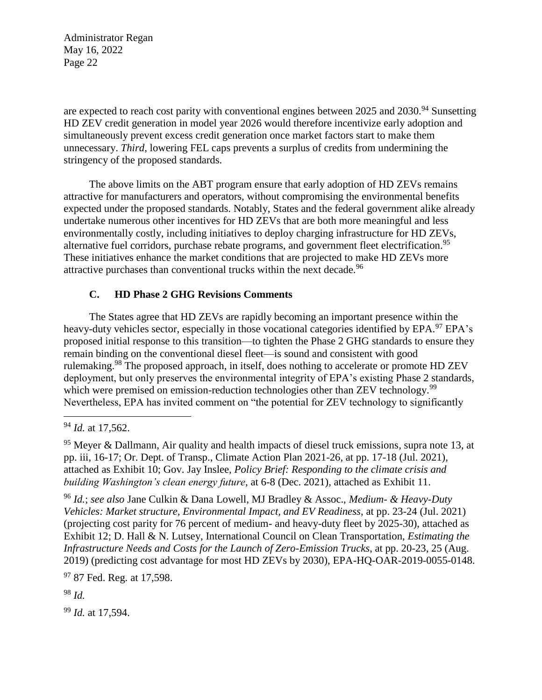are expected to reach cost parity with conventional engines between  $2025$  and  $2030$ .<sup>94</sup> Sunsetting HD ZEV credit generation in model year 2026 would therefore incentivize early adoption and simultaneously prevent excess credit generation once market factors start to make them unnecessary. *Third*, lowering FEL caps prevents a surplus of credits from undermining the stringency of the proposed standards.

The above limits on the ABT program ensure that early adoption of HD ZEVs remains attractive for manufacturers and operators, without compromising the environmental benefits expected under the proposed standards. Notably, States and the federal government alike already undertake numerous other incentives for HD ZEVs that are both more meaningful and less environmentally costly, including initiatives to deploy charging infrastructure for HD ZEVs, alternative fuel corridors, purchase rebate programs, and government fleet electrification.<sup>95</sup> These initiatives enhance the market conditions that are projected to make HD ZEVs more attractive purchases than conventional trucks within the next decade.<sup>96</sup>

## **C. HD Phase 2 GHG Revisions Comments**

The States agree that HD ZEVs are rapidly becoming an important presence within the heavy-duty vehicles sector, especially in those vocational categories identified by EPA.<sup>97</sup> EPA's proposed initial response to this transition—to tighten the Phase 2 GHG standards to ensure they remain binding on the conventional diesel fleet—is sound and consistent with good rulemaking.<sup>98</sup> The proposed approach, in itself, does nothing to accelerate or promote HD ZEV deployment, but only preserves the environmental integrity of EPA's existing Phase 2 standards, which were premised on emission-reduction technologies other than ZEV technology.<sup>99</sup> Nevertheless, EPA has invited comment on "the potential for ZEV technology to significantly

 $\overline{a}$ 

<sup>96</sup> *Id.*; *see also* Jane Culkin & Dana Lowell, MJ Bradley & Assoc., *Medium- & Heavy-Duty Vehicles: Market structure, Environmental Impact, and EV Readiness*, at pp. 23-24 (Jul. 2021) (projecting cost parity for 76 percent of medium- and heavy-duty fleet by 2025-30), attached as Exhibit 12; D. Hall & N. Lutsey, International Council on Clean Transportation, *Estimating the Infrastructure Needs and Costs for the Launch of Zero-Emission Trucks*, at pp. 20-23, 25 (Aug. 2019) (predicting cost advantage for most HD ZEVs by 2030), EPA-HQ-OAR-2019-0055-0148.

<sup>97</sup> 87 Fed. Reg. at 17,598.

<sup>98</sup> *Id.*

<sup>99</sup> *Id.* at 17,594.

<sup>94</sup> *Id.* at 17,562.

<sup>&</sup>lt;sup>95</sup> Meyer & Dallmann, Air quality and health impacts of diesel truck emissions, supra note 13, at pp. iii, 16-17; Or. Dept. of Transp., Climate Action Plan 2021-26, at pp. 17-18 (Jul. 2021), attached as Exhibit 10; Gov. Jay Inslee, *Policy Brief: Responding to the climate crisis and building Washington's clean energy future*, at 6-8 (Dec. 2021), attached as Exhibit 11.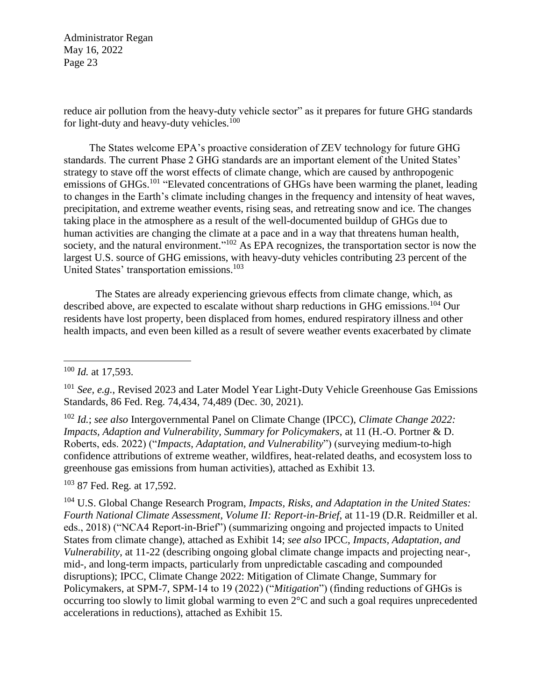reduce air pollution from the heavy-duty vehicle sector" as it prepares for future GHG standards for light-duty and heavy-duty vehicles.<sup>100</sup>

The States welcome EPA's proactive consideration of ZEV technology for future GHG standards. The current Phase 2 GHG standards are an important element of the United States' strategy to stave off the worst effects of climate change, which are caused by anthropogenic emissions of GHGs.<sup>101</sup> "Elevated concentrations of GHGs have been warming the planet, leading to changes in the Earth's climate including changes in the frequency and intensity of heat waves, precipitation, and extreme weather events, rising seas, and retreating snow and ice. The changes taking place in the atmosphere as a result of the well-documented buildup of GHGs due to human activities are changing the climate at a pace and in a way that threatens human health, society, and the natural environment."<sup>102</sup> As EPA recognizes, the transportation sector is now the largest U.S. source of GHG emissions, with heavy-duty vehicles contributing 23 percent of the United States' transportation emissions.<sup>103</sup>

The States are already experiencing grievous effects from climate change, which, as described above, are expected to escalate without sharp reductions in GHG emissions.<sup>104</sup> Our residents have lost property, been displaced from homes, endured respiratory illness and other health impacts, and even been killed as a result of severe weather events exacerbated by climate

 $\overline{a}$ 

<sup>103</sup> 87 Fed. Reg. at 17,592.

<sup>104</sup> U.S. Global Change Research Program, *Impacts, Risks, and Adaptation in the United States: Fourth National Climate Assessment, Volume II: Report-in-Brief*, at 11-19 (D.R. Reidmiller et al. eds., 2018) ("NCA4 Report-in-Brief") (summarizing ongoing and projected impacts to United States from climate change), attached as Exhibit 14; *see also* IPCC, *Impacts, Adaptation, and Vulnerability*, at 11-22 (describing ongoing global climate change impacts and projecting near-, mid-, and long-term impacts, particularly from unpredictable cascading and compounded disruptions); IPCC, Climate Change 2022: Mitigation of Climate Change, Summary for Policymakers, at SPM-7, SPM-14 to 19 (2022) ("*Mitigation*") (finding reductions of GHGs is occurring too slowly to limit global warming to even 2°C and such a goal requires unprecedented accelerations in reductions), attached as Exhibit 15.

<sup>100</sup> *Id.* at 17,593.

<sup>101</sup> *See, e.g.*, Revised 2023 and Later Model Year Light-Duty Vehicle Greenhouse Gas Emissions Standards, 86 Fed. Reg. 74,434, 74,489 (Dec. 30, 2021).

<sup>102</sup> *Id.*; *see also* Intergovernmental Panel on Climate Change (IPCC), *Climate Change 2022: Impacts, Adaption and Vulnerability, Summary for Policymakers*, at 11 (H.-O. Portner & D. Roberts, eds. 2022) ("*Impacts, Adaptation, and Vulnerability*") (surveying medium-to-high confidence attributions of extreme weather, wildfires, heat-related deaths, and ecosystem loss to greenhouse gas emissions from human activities), attached as Exhibit 13.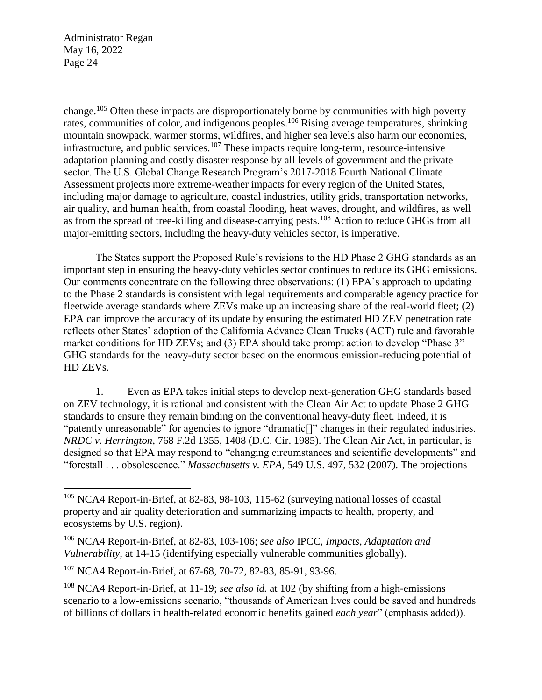$\overline{a}$ 

change.<sup>105</sup> Often these impacts are disproportionately borne by communities with high poverty rates, communities of color, and indigenous peoples.<sup>106</sup> Rising average temperatures, shrinking mountain snowpack, warmer storms, wildfires, and higher sea levels also harm our economies, infrastructure, and public services.<sup>107</sup> These impacts require long-term, resource-intensive adaptation planning and costly disaster response by all levels of government and the private sector. The U.S. Global Change Research Program's 2017-2018 Fourth National Climate Assessment projects more extreme-weather impacts for every region of the United States, including major damage to agriculture, coastal industries, utility grids, transportation networks, air quality, and human health, from coastal flooding, heat waves, drought, and wildfires, as well as from the spread of tree-killing and disease-carrying pests.<sup>108</sup> Action to reduce GHGs from all major-emitting sectors, including the heavy-duty vehicles sector, is imperative.

The States support the Proposed Rule's revisions to the HD Phase 2 GHG standards as an important step in ensuring the heavy-duty vehicles sector continues to reduce its GHG emissions. Our comments concentrate on the following three observations: (1) EPA's approach to updating to the Phase 2 standards is consistent with legal requirements and comparable agency practice for fleetwide average standards where ZEVs make up an increasing share of the real-world fleet; (2) EPA can improve the accuracy of its update by ensuring the estimated HD ZEV penetration rate reflects other States' adoption of the California Advance Clean Trucks (ACT) rule and favorable market conditions for HD ZEVs; and (3) EPA should take prompt action to develop "Phase 3" GHG standards for the heavy-duty sector based on the enormous emission-reducing potential of HD ZEVs.

1. Even as EPA takes initial steps to develop next-generation GHG standards based on ZEV technology, it is rational and consistent with the Clean Air Act to update Phase 2 GHG standards to ensure they remain binding on the conventional heavy-duty fleet. Indeed, it is "patently unreasonable" for agencies to ignore "dramatic[]" changes in their regulated industries. *NRDC v. Herrington*, 768 F.2d 1355, 1408 (D.C. Cir. 1985). The Clean Air Act, in particular, is designed so that EPA may respond to "changing circumstances and scientific developments" and "forestall . . . obsolescence." *Massachusetts v. EPA*, 549 U.S. 497, 532 (2007). The projections

<sup>105</sup> NCA4 Report-in-Brief, at 82-83, 98-103, 115-62 (surveying national losses of coastal property and air quality deterioration and summarizing impacts to health, property, and ecosystems by U.S. region).

<sup>106</sup> NCA4 Report-in-Brief, at 82-83, 103-106; *see also* IPCC, *Impacts, Adaptation and Vulnerability*, at 14-15 (identifying especially vulnerable communities globally).

<sup>107</sup> NCA4 Report-in-Brief, at 67-68, 70-72, 82-83, 85-91, 93-96.

<sup>108</sup> NCA4 Report-in-Brief, at 11-19; *see also id.* at 102 (by shifting from a high-emissions scenario to a low-emissions scenario, "thousands of American lives could be saved and hundreds of billions of dollars in health-related economic benefits gained *each year*" (emphasis added)).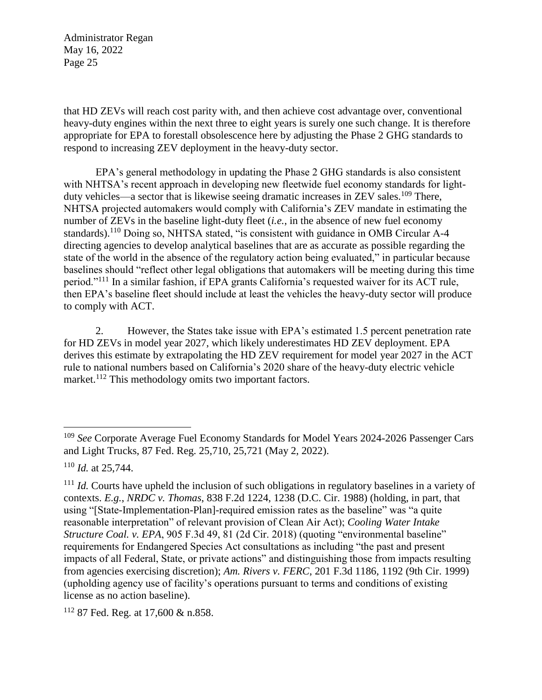that HD ZEVs will reach cost parity with, and then achieve cost advantage over, conventional heavy-duty engines within the next three to eight years is surely one such change. It is therefore appropriate for EPA to forestall obsolescence here by adjusting the Phase 2 GHG standards to respond to increasing ZEV deployment in the heavy-duty sector.

EPA's general methodology in updating the Phase 2 GHG standards is also consistent with NHTSA's recent approach in developing new fleetwide fuel economy standards for lightduty vehicles—a sector that is likewise seeing dramatic increases in ZEV sales.<sup>109</sup> There, NHTSA projected automakers would comply with California's ZEV mandate in estimating the number of ZEVs in the baseline light-duty fleet (*i.e.*, in the absence of new fuel economy standards).<sup>110</sup> Doing so, NHTSA stated, "is consistent with guidance in OMB Circular A-4 directing agencies to develop analytical baselines that are as accurate as possible regarding the state of the world in the absence of the regulatory action being evaluated," in particular because baselines should "reflect other legal obligations that automakers will be meeting during this time period."<sup>111</sup> In a similar fashion, if EPA grants California's requested waiver for its ACT rule, then EPA's baseline fleet should include at least the vehicles the heavy-duty sector will produce to comply with ACT.

2. However, the States take issue with EPA's estimated 1.5 percent penetration rate for HD ZEVs in model year 2027, which likely underestimates HD ZEV deployment. EPA derives this estimate by extrapolating the HD ZEV requirement for model year 2027 in the ACT rule to national numbers based on California's 2020 share of the heavy-duty electric vehicle market.<sup>112</sup> This methodology omits two important factors.

<sup>109</sup> *See* Corporate Average Fuel Economy Standards for Model Years 2024-2026 Passenger Cars and Light Trucks, 87 Fed. Reg. 25,710, 25,721 (May 2, 2022).

<sup>110</sup> *Id.* at 25,744.

<sup>&</sup>lt;sup>111</sup> *Id.* Courts have upheld the inclusion of such obligations in regulatory baselines in a variety of contexts. *E.g.*, *NRDC v. Thomas*, 838 F.2d 1224, 1238 (D.C. Cir. 1988) (holding, in part, that using "[State-Implementation-Plan]-required emission rates as the baseline" was "a quite reasonable interpretation" of relevant provision of Clean Air Act); *Cooling Water Intake Structure Coal. v. EPA*, 905 F.3d 49, 81 (2d Cir. 2018) (quoting "environmental baseline" requirements for Endangered Species Act consultations as including "the past and present impacts of all Federal, State, or private actions" and distinguishing those from impacts resulting from agencies exercising discretion); *Am. Rivers v. FERC*, 201 F.3d 1186, 1192 (9th Cir. 1999) (upholding agency use of facility's operations pursuant to terms and conditions of existing license as no action baseline).

<sup>112</sup> 87 Fed. Reg. at 17,600 & n.858.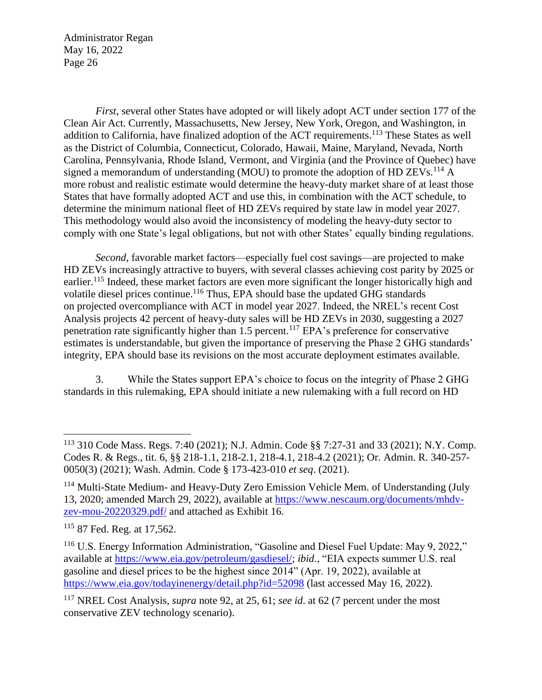*First*, several other States have adopted or will likely adopt ACT under section 177 of the Clean Air Act. Currently, Massachusetts, New Jersey, New York, Oregon, and Washington, in addition to California, have finalized adoption of the ACT requirements.<sup>113</sup> These States as well as the District of Columbia, Connecticut, Colorado, Hawaii, Maine, Maryland, Nevada, North Carolina, Pennsylvania, Rhode Island, Vermont, and Virginia (and the Province of Quebec) have signed a memorandum of understanding (MOU) to promote the adoption of HD ZEVs.<sup>114</sup> A more robust and realistic estimate would determine the heavy-duty market share of at least those States that have formally adopted ACT and use this, in combination with the ACT schedule, to determine the minimum national fleet of HD ZEVs required by state law in model year 2027. This methodology would also avoid the inconsistency of modeling the heavy-duty sector to comply with one State's legal obligations, but not with other States' equally binding regulations.

*Second*, favorable market factors—especially fuel cost savings—are projected to make HD ZEVs increasingly attractive to buyers, with several classes achieving cost parity by 2025 or earlier.<sup>115</sup> Indeed, these market factors are even more significant the longer historically high and volatile diesel prices continue.<sup>116</sup> Thus, EPA should base the updated GHG standards on projected overcompliance with ACT in model year 2027. Indeed, the NREL's recent Cost Analysis projects 42 percent of heavy-duty sales will be HD ZEVs in 2030, suggesting a 2027 penetration rate significantly higher than 1.5 percent.<sup>117</sup> EPA's preference for conservative estimates is understandable, but given the importance of preserving the Phase 2 GHG standards' integrity, EPA should base its revisions on the most accurate deployment estimates available.

3. While the States support EPA's choice to focus on the integrity of Phase 2 GHG standards in this rulemaking, EPA should initiate a new rulemaking with a full record on HD

<sup>113</sup> 310 Code Mass. Regs. 7:40 (2021); N.J. Admin. Code §§ 7:27-31 and 33 (2021); N.Y. Comp. Codes R. & Regs., tit. 6, §§ 218-1.1, 218-2.1, 218-4.1, 218-4.2 (2021); Or. Admin. R. 340-257- 0050(3) (2021); Wash. Admin. Code § 173-423-010 *et seq*. (2021).

<sup>&</sup>lt;sup>114</sup> Multi-State Medium- and Heavy-Duty Zero Emission Vehicle Mem. of Understanding (July 13, 2020; amended March 29, 2022), available at [https://www.nescaum.org/documents/mhdv](https://www.nescaum.org/documents/mhdv-zev-mou-20220329.pdf/)[zev-mou-20220329.pdf/](https://www.nescaum.org/documents/mhdv-zev-mou-20220329.pdf/) and attached as Exhibit 16.

<sup>115</sup> 87 Fed. Reg. at 17,562.

<sup>&</sup>lt;sup>116</sup> U.S. Energy Information Administration, "Gasoline and Diesel Fuel Update: May 9, 2022," available at [https://www.eia.gov/petroleum/gasdiesel/;](https://www.eia.gov/petroleum/gasdiesel/) *ibid*., "EIA expects summer U.S. real gasoline and diesel prices to be the highest since 2014" (Apr. 19, 2022), available at <https://www.eia.gov/todayinenergy/detail.php?id=52098> (last accessed May 16, 2022).

<sup>117</sup> NREL Cost Analysis, *supra* note 92, at 25, 61; *see id*. at 62 (7 percent under the most conservative ZEV technology scenario).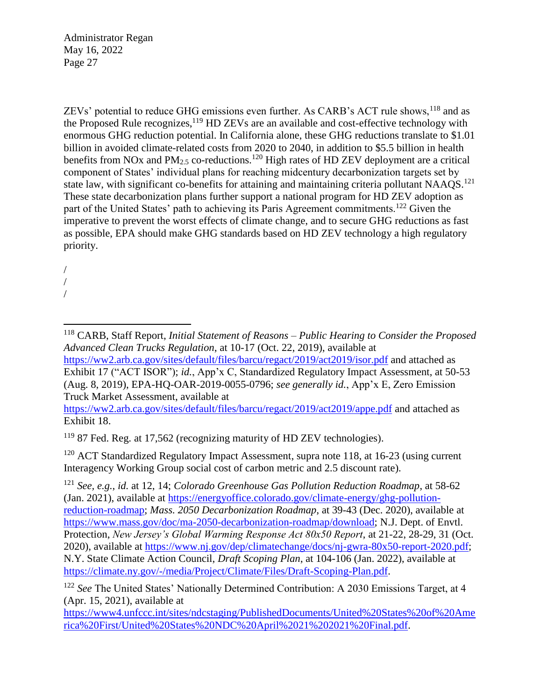ZEVs' potential to reduce GHG emissions even further. As CARB's ACT rule shows, <sup>118</sup> and as the Proposed Rule recognizes,  $^{119}$  HD ZEVs are an available and cost-effective technology with enormous GHG reduction potential. In California alone, these GHG reductions translate to \$1.01 billion in avoided climate-related costs from 2020 to 2040, in addition to \$5.5 billion in health benefits from NOx and  $PM_{2.5}$  co-reductions.<sup>120</sup> High rates of HD ZEV deployment are a critical component of States' individual plans for reaching midcentury decarbonization targets set by state law, with significant co-benefits for attaining and maintaining criteria pollutant NAAQS.<sup>121</sup> These state decarbonization plans further support a national program for HD ZEV adoption as part of the United States' path to achieving its Paris Agreement commitments.<sup>122</sup> Given the imperative to prevent the worst effects of climate change, and to secure GHG reductions as fast as possible, EPA should make GHG standards based on HD ZEV technology a high regulatory priority.

/ / /

 $\overline{a}$ 

<https://ww2.arb.ca.gov/sites/default/files/barcu/regact/2019/act2019/appe.pdf> and attached as Exhibit 18.

<sup>119</sup> 87 Fed. Reg. at 17,562 (recognizing maturity of HD ZEV technologies).

<sup>120</sup> ACT Standardized Regulatory Impact Assessment, supra note 118, at 16-23 (using current Interagency Working Group social cost of carbon metric and 2.5 discount rate).

<sup>121</sup> *See, e.g.*, *id.* at 12, 14; *Colorado Greenhouse Gas Pollution Reduction Roadmap*, at 58-62 (Jan. 2021), available at [https://energyoffice.colorado.gov/climate-energy/ghg-pollution](https://energyoffice.colorado.gov/climate-energy/ghg-pollution-reduction-roadmap)[reduction-roadmap;](https://energyoffice.colorado.gov/climate-energy/ghg-pollution-reduction-roadmap) *Mass. 2050 Decarbonization Roadmap*, at 39-43 (Dec. 2020), available at [https://www.mass.gov/doc/ma-2050-decarbonization-roadmap/download;](https://www.mass.gov/doc/ma-2050-decarbonization-roadmap/download) N.J. Dept. of Envtl. Protection, *New Jersey's Global Warming Response Act 80x50 Report*, at 21-22, 28-29, 31 (Oct. 2020), available at [https://www.nj.gov/dep/climatechange/docs/nj-gwra-80x50-report-2020.pdf;](https://www.nj.gov/dep/climatechange/docs/nj-gwra-80x50-report-2020.pdf) N.Y. State Climate Action Council, *Draft Scoping Plan*, at 104-106 (Jan. 2022), available at [https://climate.ny.gov/-/media/Project/Climate/Files/Draft-Scoping-Plan.pdf.](https://climate.ny.gov/-/media/Project/Climate/Files/Draft-Scoping-Plan.pdf)

<sup>118</sup> CARB, Staff Report, *Initial Statement of Reasons – Public Hearing to Consider the Proposed Advanced Clean Trucks Regulation*, at 10-17 (Oct. 22, 2019), available at <https://ww2.arb.ca.gov/sites/default/files/barcu/regact/2019/act2019/isor.pdf> and attached as

Exhibit 17 ("ACT ISOR"); *id.*, App'x C, Standardized Regulatory Impact Assessment, at 50-53 (Aug. 8, 2019), EPA-HQ-OAR-2019-0055-0796; *see generally id.*, App'x E, Zero Emission Truck Market Assessment, available at

<sup>122</sup> *See* The United States' Nationally Determined Contribution: A 2030 Emissions Target, at 4 (Apr. 15, 2021), available at

[https://www4.unfccc.int/sites/ndcstaging/PublishedDocuments/United%20States%20of%20Ame](https://www4.unfccc.int/sites/ndcstaging/PublishedDocuments/United%20States%20of%20America%20First/United%20States%20NDC%20April%2021%202021%20Final.pdf) [rica%20First/United%20States%20NDC%20April%2021%202021%20Final.pdf.](https://www4.unfccc.int/sites/ndcstaging/PublishedDocuments/United%20States%20of%20America%20First/United%20States%20NDC%20April%2021%202021%20Final.pdf)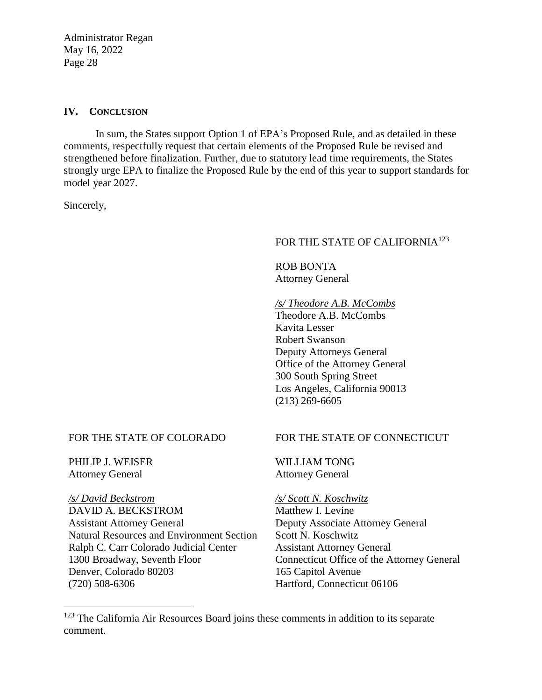### **IV. CONCLUSION**

In sum, the States support Option 1 of EPA's Proposed Rule, and as detailed in these comments, respectfully request that certain elements of the Proposed Rule be revised and strengthened before finalization. Further, due to statutory lead time requirements, the States strongly urge EPA to finalize the Proposed Rule by the end of this year to support standards for model year 2027.

Sincerely,

### FOR THE STATE OF CALIFORNIA<sup>123</sup>

ROB BONTA Attorney General

### */s/ Theodore A.B. McCombs*

Theodore A.B. McCombs Kavita Lesser Robert Swanson Deputy Attorneys General Office of the Attorney General 300 South Spring Street Los Angeles, California 90013 (213) 269-6605

### FOR THE STATE OF COLORADO

PHILIP J. WEISER Attorney General

 $\overline{a}$ 

*/s/ David Beckstrom* DAVID A. BECKSTROM Assistant Attorney General Natural Resources and Environment Section Ralph C. Carr Colorado Judicial Center 1300 Broadway, Seventh Floor Denver, Colorado 80203 (720) 508-6306

### FOR THE STATE OF CONNECTICUT

WILLIAM TONG Attorney General

*/s/ Scott N. Koschwitz*  Matthew I. Levine Deputy Associate Attorney General Scott N. Koschwitz Assistant Attorney General Connecticut Office of the Attorney General 165 Capitol Avenue Hartford, Connecticut 06106

<sup>&</sup>lt;sup>123</sup> The California Air Resources Board joins these comments in addition to its separate comment.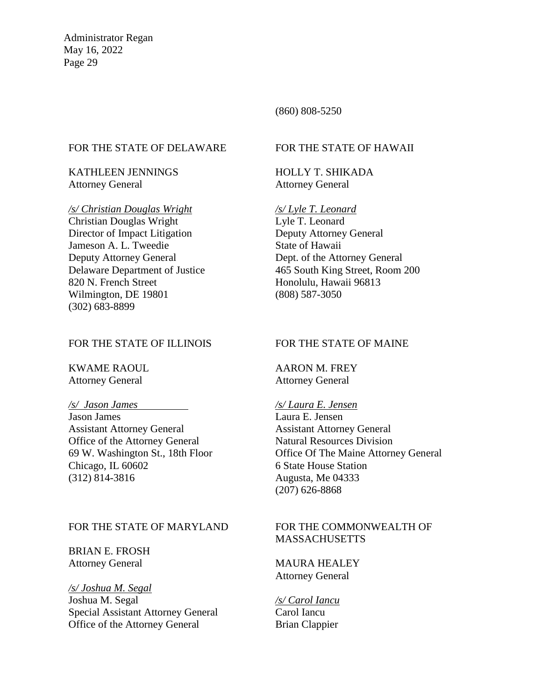### (860) 808-5250

#### FOR THE STATE OF DELAWARE

KATHLEEN JENNINGS Attorney General

#### */s/ Christian Douglas Wright*

Christian Douglas Wright Director of Impact Litigation Jameson A. L. Tweedie Deputy Attorney General Delaware Department of Justice 820 N. French Street Wilmington, DE 19801 (302) 683-8899

#### FOR THE STATE OF ILLINOIS

KWAME RAOUL Attorney General

#### */s/ Jason James*

Jason James Assistant Attorney General Office of the Attorney General 69 W. Washington St., 18th Floor Chicago, IL 60602 (312) 814-3816

### FOR THE STATE OF MARYLAND

BRIAN E. FROSH Attorney General

*/s/ Joshua M. Segal* Joshua M. Segal Special Assistant Attorney General Office of the Attorney General

## FOR THE STATE OF HAWAII

HOLLY T. SHIKADA Attorney General

*/s/ Lyle T. Leonard*  Lyle T. Leonard Deputy Attorney General State of Hawaii Dept. of the Attorney General 465 South King Street, Room 200 Honolulu, Hawaii 96813 (808) 587-3050

#### FOR THE STATE OF MAINE

AARON M. FREY Attorney General

### */s/ Laura E. Jensen* Laura E. Jensen Assistant Attorney General Natural Resources Division Office Of The Maine Attorney General 6 State House Station

Augusta, Me 04333 (207) 626-8868

## FOR THE COMMONWEALTH OF MASSACHUSETTS

MAURA HEALEY Attorney General

*/s/ Carol Iancu*  Carol Iancu Brian Clappier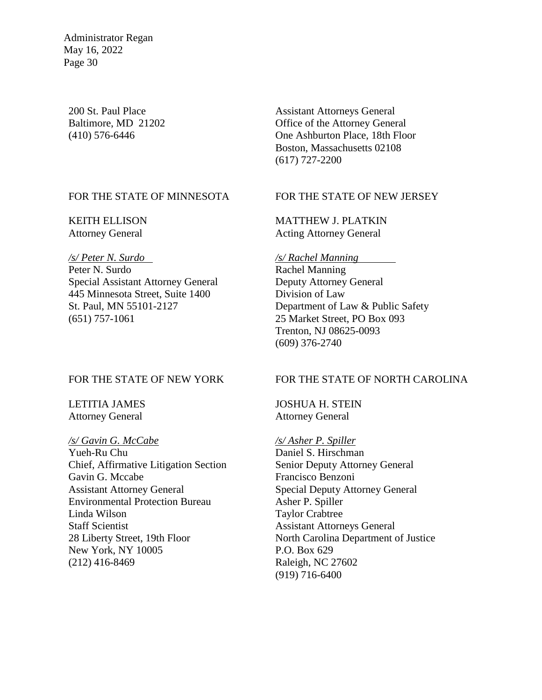200 St. Paul Place Baltimore, MD 21202 (410) 576-6446

FOR THE STATE OF MINNESOTA

KEITH ELLISON Attorney General

*/s/ Peter N. Surdo*  Peter N. Surdo Special Assistant Attorney General 445 Minnesota Street, Suite 1400 St. Paul, MN 55101-2127 (651) 757-1061

#### FOR THE STATE OF NEW YORK

LETITIA JAMES Attorney General

*/s/ Gavin G. McCabe*  Yueh-Ru Chu Chief, Affirmative Litigation Section Gavin G. Mccabe Assistant Attorney General Environmental Protection Bureau Linda Wilson Staff Scientist 28 Liberty Street, 19th Floor New York, NY 10005 (212) 416-8469

Assistant Attorneys General Office of the Attorney General One Ashburton Place, 18th Floor Boston, Massachusetts 02108 (617) 727-2200

### FOR THE STATE OF NEW JERSEY

MATTHEW J. PLATKIN Acting Attorney General

#### */s/ Rachel Manning*

Rachel Manning Deputy Attorney General Division of Law Department of Law & Public Safety 25 Market Street, PO Box 093 Trenton, NJ 08625-0093 (609) 376-2740

### FOR THE STATE OF NORTH CAROLINA

JOSHUA H. STEIN Attorney General

*/s/ Asher P. Spiller* Daniel S. Hirschman Senior Deputy Attorney General Francisco Benzoni Special Deputy Attorney General Asher P. Spiller Taylor Crabtree Assistant Attorneys General North Carolina Department of Justice P.O. Box 629 Raleigh, NC 27602 (919) 716-6400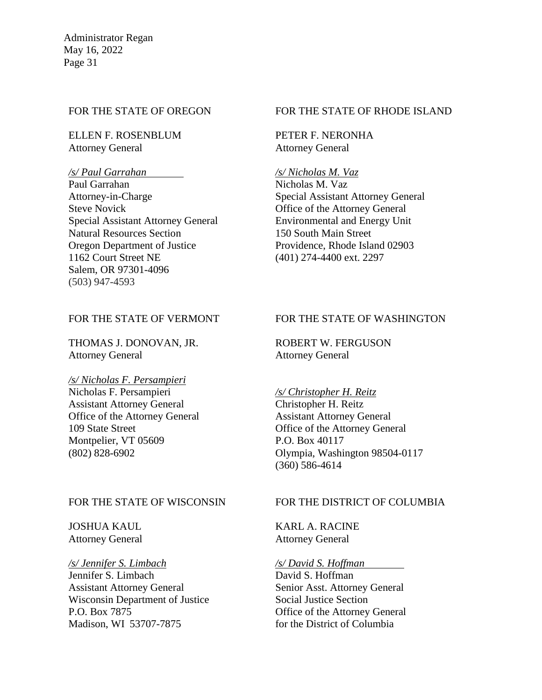#### FOR THE STATE OF OREGON

ELLEN F. ROSENBLUM Attorney General

#### */s/ Paul Garrahan*

Paul Garrahan Attorney-in-Charge Steve Novick Special Assistant Attorney General Natural Resources Section Oregon Department of Justice 1162 Court Street NE Salem, OR 97301-4096 (503) 947-4593

### FOR THE STATE OF VERMONT

THOMAS J. DONOVAN, JR. Attorney General

### */s/ Nicholas F. Persampieri*

Nicholas F. Persampieri Assistant Attorney General Office of the Attorney General 109 State Street Montpelier, VT 05609 (802) 828-6902

#### FOR THE STATE OF RHODE ISLAND

PETER F. NERONHA Attorney General

#### */s/ Nicholas M. Vaz*

Nicholas M. Vaz Special Assistant Attorney General Office of the Attorney General Environmental and Energy Unit 150 South Main Street Providence, Rhode Island 02903 (401) 274-4400 ext. 2297

### FOR THE STATE OF WASHINGTON

ROBERT W. FERGUSON Attorney General

# */s/ Christopher H. Reitz*

Christopher H. Reitz Assistant Attorney General Office of the Attorney General P.O. Box 40117 Olympia, Washington 98504-0117 (360) 586-4614

#### FOR THE STATE OF WISCONSIN

JOSHUA KAUL Attorney General

#### */s/ Jennifer S. Limbach*

Jennifer S. Limbach Assistant Attorney General Wisconsin Department of Justice P.O. Box 7875 Madison, WI 53707-7875

### FOR THE DISTRICT OF COLUMBIA

KARL A. RACINE Attorney General

### */s/ David S. Hoffman*

David S. Hoffman Senior Asst. Attorney General Social Justice Section Office of the Attorney General for the District of Columbia